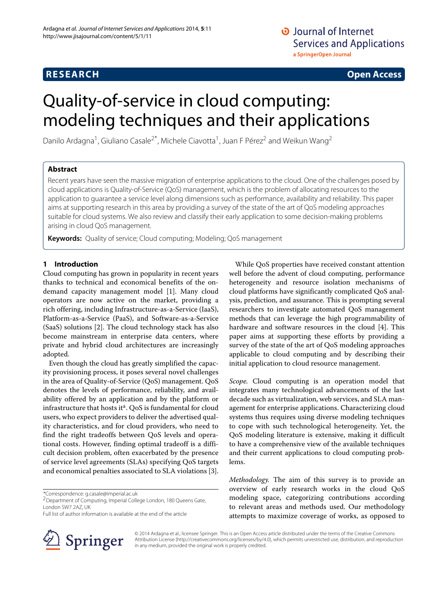## O Journal of Internet **Services and Applications** a SpringerOpen Journal

# **RESEARCH Open Access**

# Quality-of-service in cloud computing: modeling techniques and their applications

Danilo Ardagna<sup>1</sup>, Giuliano Casale<sup>2\*</sup>, Michele Ciavotta<sup>1</sup>, Juan F Pérez<sup>2</sup> and Weikun Wang<sup>2</sup>

## **Abstract**

Recent years have seen the massive migration of enterprise applications to the cloud. One of the challenges posed by cloud applications is Quality-of-Service (QoS) management, which is the problem of allocating resources to the application to guarantee a service level along dimensions such as performance, availability and reliability. This paper aims at supporting research in this area by providing a survey of the state of the art of QoS modeling approaches suitable for cloud systems. We also review and classify their early application to some decision-making problems arising in cloud QoS management.

**Keywords:** Quality of service; Cloud computing; Modeling; QoS management

## **1 Introduction**

Cloud computing has grown in popularity in recent years thanks to technical and economical benefits of the ondemand capacity management model [\[1\]](#page-12-0). Many cloud operators are now active on the market, providing a rich offering, including Infrastructure-as-a-Service (IaaS), Platform-as-a-Service (PaaS), and Software-as-a-Service (SaaS) solutions [\[2\]](#page-12-1). The cloud technology stack has also become mainstream in enterprise data centers, where private and hybrid cloud architectures are increasingly adopted.

Even though the cloud has greatly simplified the capacity provisioning process, it poses several novel challenges in the area of Quality-of-Service (QoS) management. QoS denotes the levels of performance, reliability, and availability offered by an application and by the platform or infrastructure that hosts it<sup>a</sup>. QoS is fundamental for cloud users, who expect providers to deliver the advertised quality characteristics, and for cloud providers, who need to find the right tradeoffs between QoS levels and operational costs. However, finding optimal tradeoff is a difficult decision problem, often exacerbated by the presence of service level agreements (SLAs) specifying QoS targets and economical penalties associated to SLA violations [\[3\]](#page-12-2).

\*Correspondence: [g.casale@imperial.ac.uk](mailto: g.casale@imperial.ac.uk)

Full list of author information is available at the end of the article



While QoS properties have received constant attention well before the advent of cloud computing, performance heterogeneity and resource isolation mechanisms of cloud platforms have significantly complicated QoS analysis, prediction, and assurance. This is prompting several researchers to investigate automated QoS management methods that can leverage the high programmability of hardware and software resources in the cloud [\[4\]](#page-12-3). This paper aims at supporting these efforts by providing a survey of the state of the art of QoS modeling approaches applicable to cloud computing and by describing their initial application to cloud resource management.

*Scope.* Cloud computing is an operation model that integrates many technological advancements of the last decade such as virtualization, web services, and SLA management for enterprise applications. Characterizing cloud systems thus requires using diverse modeling techniques to cope with such technological heterogeneity. Yet, the QoS modeling literature is extensive, making it difficult to have a comprehensive view of the available techniques and their current applications to cloud computing problems.

*Methodology.* The aim of this survey is to provide an overview of early research works in the cloud QoS modeling space, categorizing contributions according to relevant areas and methods used. Our methodology attempts to maximize coverage of works, as opposed to

© 2014 Ardagna et al.; licensee Springer. This is an Open Access article distributed under the terms of the Creative Commons Attribution License [\(http://creativecommons.org/licenses/by/4.0\)](http://creativecommons.org/licenses/by/4.0), which permits unrestricted use, distribution, and reproduction in any medium, provided the original work is properly credited.

<sup>2</sup>Department of Computing, Imperial College London, 180 Queens Gate, London SW7 2AZ, UK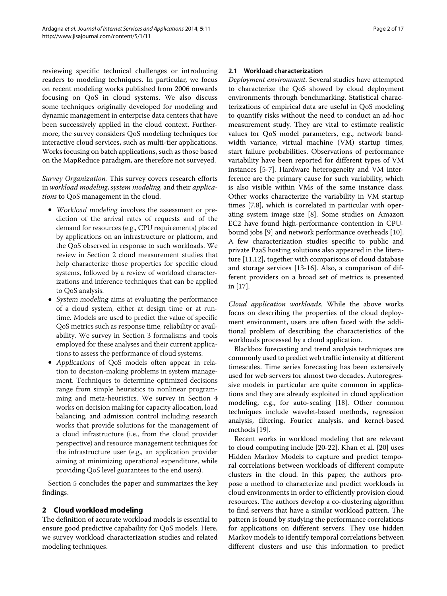reviewing specific technical challenges or introducing readers to modeling techniques. In particular, we focus on recent modeling works published from 2006 onwards focusing on QoS in cloud systems. We also discuss some techniques originally developed for modeling and dynamic management in enterprise data centers that have been successively applied in the cloud context. Furthermore, the survey considers QoS modeling techniques for interactive cloud services, such as multi-tier applications. Works focusing on batch applications, such as those based on the MapReduce paradigm, are therefore not surveyed.

*Survey Organization.* This survey covers research efforts in *workload modeling*, *system modeling*, and their *applications* to QoS management in the cloud.

- Workload modeling involves the assessment or prediction of the arrival rates of requests and of the demand for resources (e.g., CPU requirements) placed by applications on an infrastructure or platform, and the QoS observed in response to such workloads. We review in Section [2](#page-1-0) cloud measurement studies that help characterize those properties for specific cloud systems, followed by a review of workload characterizations and inference techniques that can be applied to QoS analysis.
- System modeling aims at evaluating the performance of a cloud system, either at design time or at runtime. Models are used to predict the value of specific QoS metrics such as response time, reliability or availability. We survey in Section [3](#page-3-0) formalisms and tools employed for these analyses and their current applications to assess the performance of cloud systems.
- Applications of QoS models often appear in relation to decision-making problems in system management. Techniques to determine optimized decisions range from simple heuristics to nonlinear programming and meta-heuristics. We survey in Section [4](#page-6-0) works on decision making for capacity allocation, load balancing, and admission control including research works that provide solutions for the management of a cloud infrastructure (i.e., from the cloud provider perspective) and resource management techniques for the infrastructure user (e.g., an application provider aiming at minimizing operational expenditure, while providing QoS level guarantees to the end users).

Section [5](#page-11-0) concludes the paper and summarizes the key findings.

## <span id="page-1-0"></span>**2 Cloud workload modeling**

The definition of accurate workload models is essential to ensure good predictive capabaility for QoS models. Here, we survey workload characterization studies and related modeling techniques.

## <span id="page-1-1"></span>**2.1 Workload characterization**

*Deployment environment*. Several studies have attempted to characterize the QoS showed by cloud deployment environments through benchmarking. Statistical characterizations of empirical data are useful in QoS modeling to quantify risks without the need to conduct an ad-hoc measurement study. They are vital to estimate realistic values for QoS model parameters, e.g., network bandwidth variance, virtual machine (VM) startup times, start failure probabilities. Observations of performance variability have been reported for different types of VM instances [\[5-](#page-12-4)[7\]](#page-12-5). Hardware heterogeneity and VM interference are the primary cause for such variability, which is also visible within VMs of the same instance class. Other works characterize the variability in VM startup times [\[7](#page-12-5)[,8\]](#page-12-6), which is correlated in particular with operating system image size [\[8\]](#page-12-6). Some studies on Amazon EC2 have found high-performance contention in CPUbound jobs [\[9\]](#page-12-7) and network performance overheads [\[10\]](#page-12-8). A few characterization studies specific to public and private PaaS hosting solutions also appeared in the literature [\[11](#page-12-9)[,12\]](#page-12-10), together with comparisons of cloud database and storage services [\[13-](#page-12-11)[16\]](#page-13-0). Also, a comparison of different providers on a broad set of metrics is presented in [\[17\]](#page-13-1).

*Cloud application workloads*. While the above works focus on describing the properties of the cloud deployment environment, users are often faced with the additional problem of describing the characteristics of the workloads processed by a cloud application.

Blackbox forecasting and trend analysis techniques are commonly used to predict web traffic intensity at different timescales. Time series forecasting has been extensively used for web servers for almost two decades. Autoregressive models in particular are quite common in applications and they are already exploited in cloud application modeling, e.g., for auto-scaling [\[18\]](#page-13-2). Other common techniques include wavelet-based methods, regression analysis, filtering, Fourier analysis, and kernel-based methods [\[19\]](#page-13-3).

Recent works in workload modeling that are relevant to cloud computing include [\[20-](#page-13-4)[22\]](#page-13-5). Khan et al. [\[20\]](#page-13-4) uses Hidden Markov Models to capture and predict temporal correlations between workloads of different compute clusters in the cloud. In this paper, the authors propose a method to characterize and predict workloads in cloud environments in order to efficiently provision cloud resources. The authors develop a co-clustering algorithm to find servers that have a similar workload pattern. The pattern is found by studying the performance correlations for applications on different servers. They use hidden Markov models to identify temporal correlations between different clusters and use this information to predict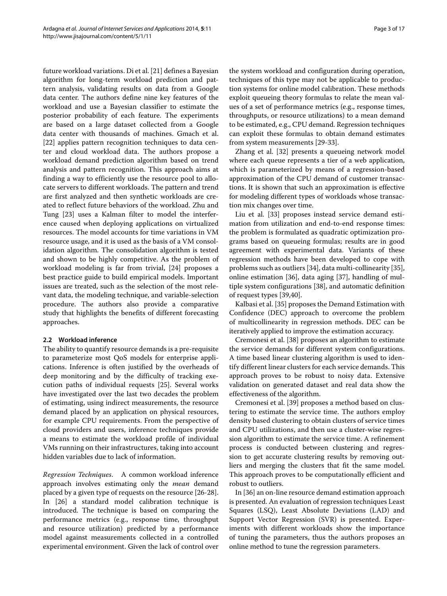future workload variations. Di et al. [\[21\]](#page-13-6) defines a Bayesian algorithm for long-term workload prediction and pattern analysis, validating results on data from a Google data center. The authors define nine key features of the workload and use a Bayesian classifier to estimate the posterior probability of each feature. The experiments are based on a large dataset collected from a Google data center with thousands of machines. Gmach et al. [\[22\]](#page-13-5) applies pattern recognition techniques to data center and cloud workload data. The authors propose a workload demand prediction algorithm based on trend analysis and pattern recognition. This approach aims at finding a way to efficiently use the resource pool to allocate servers to different workloads. The pattern and trend are first analyzed and then synthetic workloads are created to reflect future behaviors of the workload. Zhu and Tung [\[23\]](#page-13-7) uses a Kalman filter to model the interference caused when deploying applications on virtualized resources. The model accounts for time variations in VM resource usage, and it is used as the basis of a VM consolidation algorithm. The consolidation algorithm is tested and shown to be highly competitive. As the problem of workload modeling is far from trivial, [\[24\]](#page-13-8) proposes a best practice guide to build empirical models. Important issues are treated, such as the selection of the most relevant data, the modeling technique, and variable-selection procedure. The authors also provide a comparative study that highlights the benefits of different forecasting approaches.

## **2.2 Workload inference**

The ability to quantify resource demands is a pre-requisite to parameterize most QoS models for enterprise applications. Inference is often justified by the overheads of deep monitoring and by the difficulty of tracking execution paths of individual requests [\[25\]](#page-13-9). Several works have investigated over the last two decades the problem of estimating, using indirect measurements, the resource demand placed by an application on physical resources, for example CPU requirements. From the perspective of cloud providers and users, inference techniques provide a means to estimate the workload profile of individual VMs running on their infrastructures, taking into account hidden variables due to lack of information.

*Regression Techniques*. A common workload inference approach involves estimating only the *mean* demand placed by a given type of requests on the resource [\[26](#page-13-10)[-28\]](#page-13-11). In [\[26\]](#page-13-10) a standard model calibration technique is introduced. The technique is based on comparing the performance metrics (e.g., response time, throughput and resource utilization) predicted by a performance model against measurements collected in a controlled experimental environment. Given the lack of control over

the system workload and configuration during operation, techniques of this type may not be applicable to production systems for online model calibration. These methods exploit queueing theory formulas to relate the mean values of a set of performance metrics (e.g., response times, throughputs, or resource utilizations) to a mean demand to be estimated, e.g., CPU demand. Regression techniques can exploit these formulas to obtain demand estimates from system measurements [\[29](#page-13-12)[-33\]](#page-13-13).

Zhang et al. [\[32\]](#page-13-14) presents a queueing network model where each queue represents a tier of a web application, which is parameterized by means of a regression-based approximation of the CPU demand of customer transactions. It is shown that such an approximation is effective for modeling different types of workloads whose transaction mix changes over time.

Liu et al. [\[33\]](#page-13-13) proposes instead service demand estimation from utilization and end-to-end response times: the problem is formulated as quadratic optimization programs based on queueing formulas; results are in good agreement with experimental data. Variants of these regression methods have been developed to cope with problems such as outliers [\[34\]](#page-13-15), data multi-collinearity [\[35\]](#page-13-16), online estimation [\[36\]](#page-13-17), data aging [\[37\]](#page-13-18), handling of multiple system configurations [\[38\]](#page-13-19), and automatic definition of request types [\[39](#page-13-20)[,40\]](#page-13-21).

Kalbasi et al. [\[35\]](#page-13-16) proposes the Demand Estimation with Confidence (DEC) approach to overcome the problem of multicollinearity in regression methods. DEC can be iteratively applied to improve the estimation accuracy.

Cremonesi et al. [\[38\]](#page-13-19) proposes an algorithm to estimate the service demands for different system configurations. A time based linear clustering algorithm is used to identify different linear clusters for each service demands. This approach proves to be robust to noisy data. Extensive validation on generated dataset and real data show the effectiveness of the algorithm.

Cremonesi et al. [\[39\]](#page-13-20) proposes a method based on clustering to estimate the service time. The authors employ density based clustering to obtain clusters of service times and CPU utilizations, and then use a cluster-wise regression algorithm to estimate the service time. A refinement process is conducted between clustering and regression to get accurate clustering results by removing outliers and merging the clusters that fit the same model. This approach proves to be computationally efficient and robust to outliers.

In [\[36\]](#page-13-17) an on-line resource demand estimation approach is presented. An evaluation of regression techniques Least Squares (LSQ), Least Absolute Deviations (LAD) and Support Vector Regression (SVR) is presented. Experiments with different workloads show the importance of tuning the parameters, thus the authors proposes an online method to tune the regression parameters.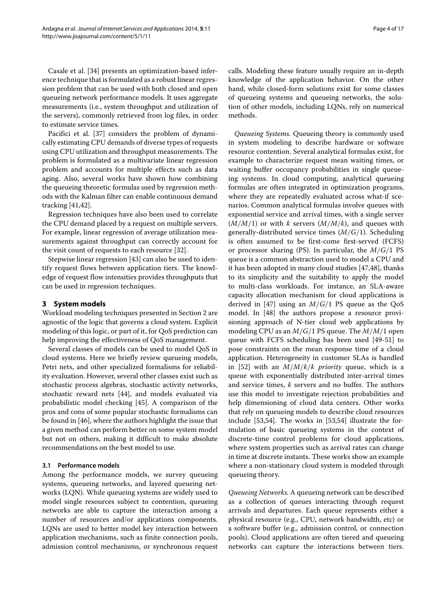Casale et al. [\[34\]](#page-13-15) presents an optimization-based inference technique that is formulated as a robust linear regression problem that can be used with both closed and open queueing network performance models. It uses aggregate measurements (i.e., system throughput and utilization of the servers), commonly retrieved from log files, in order to estimate service times.

Pacifici et al. [\[37\]](#page-13-18) considers the problem of dynamically estimating CPU demands of diverse types of requests using CPU utilization and throughput measurements. The problem is formulated as a multivariate linear regression problem and accounts for multiple effects such as data aging. Also, several works have shown how combining the queueing theoretic formulas used by regression methods with the Kalman filter can enable continuous demand tracking [\[41](#page-13-22)[,42\]](#page-13-23).

Regression techniques have also been used to correlate the CPU demand placed by a request on multiple servers. For example, linear regression of average utilization measurements against throughput can correctly account for the visit count of requests to each resource [\[32\]](#page-13-14).

Stepwise linear regression [\[43\]](#page-13-24) can also be used to identify request flows between application tiers. The knowledge of request flow intensities provides throughputs that can be used in regression techniques.

## <span id="page-3-0"></span>**3 System models**

Workload modeling techniques presented in Section [2](#page-1-0) are agnostic of the logic that governs a cloud system. Explicit modeling of this logic, or part of it, for QoS prediction can help improving the effectiveness of QoS management.

Several classes of models can be used to model QoS in cloud systems. Here we briefly review queueing models, Petri nets, and other specialized formalisms for reliability evaluation. However, several other classes exist such as stochastic process algebras, stochastic activity networks, stochastic reward nets [\[44\]](#page-13-25), and models evaluated via probabilistic model checking [\[45\]](#page-13-26). A comparison of the pros and cons of some popular stochastic formalisms can be found in [\[46\]](#page-13-27), where the authors highlight the issue that a given method can perform better on some system model but not on others, making it difficult to make absolute recommendations on the best model to use.

## **3.1 Performance models**

Among the performance models, we survey queueing systems, queueing networks, and layered queueing networks (LQN). While queueing systems are widely used to model single resources subject to contention, queueing networks are able to capture the interaction among a number of resources and/or applications components. LQNs are used to better model key interaction between application mechanisms, such as finite connection pools, admission control mechanisms, or synchronous request calls. Modeling these feature usually require an in-depth knowledge of the application behavior. On the other hand, while closed-form solutions exist for some classes of queueing systems and queueing networks, the solution of other models, including LQNs, rely on numerical methods.

*Queueing Systems.* Queueing theory is commonly used in system modeling to describe hardware or software resource contention. Several analytical formulas exist, for example to characterize request mean waiting times, or waiting buffer occupancy probabilities in single queueing systems. In cloud computing, analytical queueing formulas are often integrated in optimization programs, where they are repeatedly evaluated across what-if scenarios. Common analytical formulas involve queues with exponential service and arrival times, with a single server  $(M/M/1)$  or with *k* servers  $(M/M/k)$ , and queues with generally-distributed service times (*M*/*G*/1). Scheduling is often assumed to be first-come first-served (FCFS) or processor sharing (PS). In particular, the *M*/*G*/1 PS queue is a common abstraction used to model a CPU and it has been adopted in many cloud studies [\[47,](#page-13-28)[48\]](#page-13-29), thanks to its simplicity and the suitability to apply the model to multi-class workloads. For instance, an SLA-aware capacity allocation mechanism for cloud applications is derived in [\[47\]](#page-13-28) using an *M*/*G*/1 PS queue as the QoS model. In [\[48\]](#page-13-29) the authors propose a resource provisioning approach of N-tier cloud web applications by modeling CPU as an *M*/*G*/1 PS queue. The *M*/*M*/1 open queue with FCFS scheduling has been used [\[49](#page-13-30)[-51\]](#page-13-31) to pose constraints on the mean response time of a cloud application. Heterogeneity in customer SLAs is handled in [\[52\]](#page-13-32) with an *M*/*M*/*k*/*k priority* queue, which is a queue with exponentially distributed inter-arrival times and service times, *k* servers and no buffer. The authors use this model to investigate rejection probabilities and help dimensioning of cloud data centers. Other works that rely on queueing models to describe cloud resources include [\[53](#page-13-33)[,54\]](#page-13-34). The works in [\[53,](#page-13-33)[54\]](#page-13-34) illustrate the formulation of basic queueing systems in the context of discrete-time control problems for cloud applications, where system properties such as arrival rates can change in time at discrete instants. These works show an example where a non-stationary cloud system is modeled through queueing theory.

*Queueing Networks.* A queueing network can be described as a collection of queues interacting through request arrivals and departures. Each queue represents either a physical resource (e.g., CPU, network bandwidth, etc) or a software buffer (e.g., admission control, or connection pools). Cloud applications are often tiered and queueing networks can capture the interactions between tiers.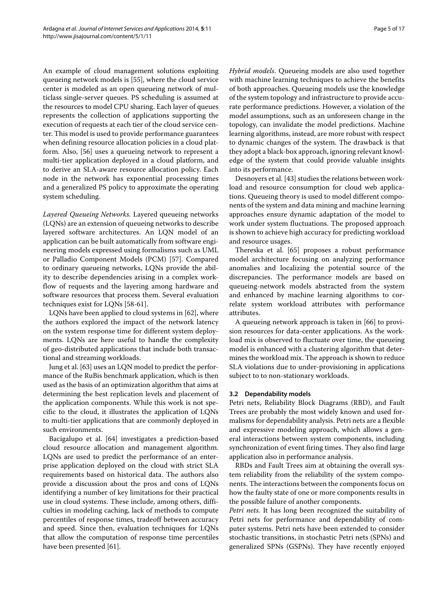An example of cloud management solutions exploiting queueing network models is [\[55\]](#page-14-0), where the cloud service center is modeled as an open queueing network of multiclass single-server queues. PS scheduling is assumed at the resources to model CPU sharing. Each layer of queues represents the collection of applications supporting the execution of requests at each tier of the cloud service center. This model is used to provide performance guarantees when defining resource allocation policies in a cloud platform. Also, [\[56\]](#page-14-1) uses a queueing network to represent a multi-tier application deployed in a cloud platform, and to derive an SLA-aware resource allocation policy. Each node in the network has exponential processing times and a generalized PS policy to approximate the operating system scheduling.

*Layered Queueing Networks.* Layered queueing networks (LQNs) are an extension of queueing networks to describe layered software architectures. An LQN model of an application can be built automatically from software engineering models expressed using formalisms such as UML or Palladio Component Models (PCM) [\[57\]](#page-14-2). Compared to ordinary queueing networks, LQNs provide the ability to describe dependencies arising in a complex workflow of requests and the layering among hardware and software resources that process them. Several evaluation techniques exist for LQNs [\[58-](#page-14-3)[61\]](#page-14-4).

LQNs have been applied to cloud systems in [\[62\]](#page-14-5), where the authors explored the impact of the network latency on the system response time for different system deployments. LQNs are here useful to handle the complexity of geo-distributed applications that include both transactional and streaming workloads.

Jung et al. [\[63\]](#page-14-6) uses an LQN model to predict the performance of the RuBis benchmark application, which is then used as the basis of an optimization algorithm that aims at determining the best replication levels and placement of the application components. While this work is not specific to the cloud, it illustrates the application of LQNs to multi-tier applications that are commonly deployed in such environments.

Bacigalupo et al. [\[64\]](#page-14-7) investigates a prediction-based cloud resource allocation and management algorithm. LQNs are used to predict the performance of an enterprise application deployed on the cloud with strict SLA requirements based on historical data. The authors also provide a discussion about the pros and cons of LQNs identifying a number of key limitations for their practical use in cloud systems. These include, among others, difficulties in modeling caching, lack of methods to compute percentiles of response times, tradeoff between accuracy and speed. Since then, evaluation techniques for LQNs that allow the computation of response time percentiles have been presented [\[61\]](#page-14-4).

*Hybrid models*. Queueing models are also used together with machine learning techniques to achieve the benefits of both approaches. Queueing models use the knowledge of the system topology and infrastructure to provide accurate performance predictions. However, a violation of the model assumptions, such as an unforeseen change in the topology, can invalidate the model predictions. Machine learning algorithms, instead, are more robust with respect to dynamic changes of the system. The drawback is that they adopt a black-box approach, ignoring relevant knowledge of the system that could provide valuable insights into its performance.

Desnoyers et al. [\[43\]](#page-13-24) studies the relations between workload and resource consumption for cloud web applications. Queueing theory is used to model different components of the system and data mining and machine learning approaches ensure dynamic adaptation of the model to work under system fluctuations. The proposed approach is shown to achieve high accuracy for predicting workload and resource usages.

Thereska et al. [\[65\]](#page-14-8) proposes a robust performance model architecture focusing on analyzing performance anomalies and localizing the potential source of the discrepancies. The performance models are based on queueing-network models abstracted from the system and enhanced by machine learning algorithms to correlate system workload attributes with performance attributes.

A queueing network approach is taken in [\[66\]](#page-14-9) to provision resources for data-center applications. As the workload mix is observed to fluctuate over time, the queueing model is enhanced with a clustering algorithm that determines the workload mix. The approach is shown to reduce SLA violations due to under-provisioning in applications subject to to non-stationary workloads.

## **3.2 Dependability models**

Petri nets, Reliability Block Diagrams (RBD), and Fault Trees are probably the most widely known and used formalisms for dependability analysis. Petri nets are a flexible and expressive modeling approach, which allows a general interactions between system components, including synchronization of event firing times. They also find large application also in performance analysis.

RBDs and Fault Trees aim at obtaining the overall system reliability from the reliability of the system components. The interactions between the components focus on how the faulty state of one or more components results in the possible failure of another components.

*Petri nets.* It has long been recognized the suitability of Petri nets for performance and dependability of computer systems. Petri nets have been extended to consider stochastic transitions, in stochastic Petri nets (SPNs) and generalized SPNs (GSPNs). They have recently enjoyed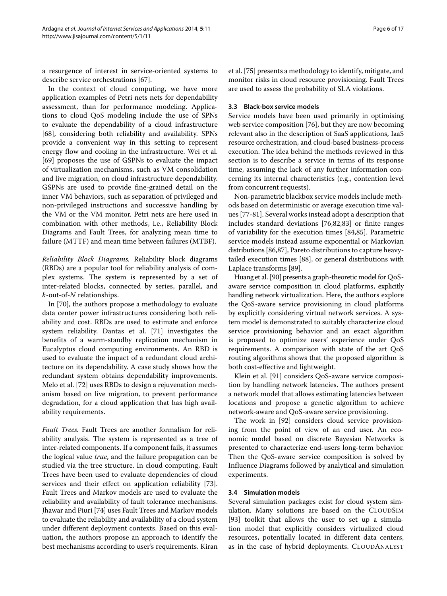a resurgence of interest in service-oriented systems to describe service orchestrations [\[67\]](#page-14-10).

In the context of cloud computing, we have more application examples of Petri nets nets for dependability assessment, than for performance modeling. Applications to cloud QoS modeling include the use of SPNs to evaluate the dependability of a cloud infrastructure [\[68\]](#page-14-11), considering both reliability and availability. SPNs provide a convenient way in this setting to represent energy flow and cooling in the infrastructure. Wei et al. [\[69\]](#page-14-12) proposes the use of GSPNs to evaluate the impact of virtualization mechanisms, such as VM consolidation and live migration, on cloud infrastructure dependability. GSPNs are used to provide fine-grained detail on the inner VM behaviors, such as separation of privileged and non-privileged instructions and successive handling by the VM or the VM monitor. Petri nets are here used in combination with other methods, i.e., Reliability Block Diagrams and Fault Trees, for analyzing mean time to failure (MTTF) and mean time between failures (MTBF).

*Reliability Block Diagrams.* Reliability block diagrams (RBDs) are a popular tool for reliability analysis of complex systems. The system is represented by a set of inter-related blocks, connected by series, parallel, and *k*-out-of-*N* relationships.

In [\[70\]](#page-14-13), the authors propose a methodology to evaluate data center power infrastructures considering both reliability and cost. RBDs are used to estimate and enforce system reliability. Dantas et al. [\[71\]](#page-14-14) investigates the benefits of a warm-standby replication mechanism in Eucalyptus cloud computing environments. An RBD is used to evaluate the impact of a redundant cloud architecture on its dependability. A case study shows how the redundant system obtains dependability improvements. Melo et al. [\[72\]](#page-14-15) uses RBDs to design a rejuvenation mechanism based on live migration, to prevent performance degradation, for a cloud application that has high availability requirements.

*Fault Trees.* Fault Trees are another formalism for reliability analysis. The system is represented as a tree of inter-related components. If a component fails, it assumes the logical value *true*, and the failure propagation can be studied via the tree structure. In cloud computing, Fault Trees have been used to evaluate dependencies of cloud services and their effect on application reliability [\[73\]](#page-14-16). Fault Trees and Markov models are used to evaluate the reliability and availability of fault tolerance mechanisms. Jhawar and Piuri [\[74\]](#page-14-17) uses Fault Trees and Markov models to evaluate the reliability and availability of a cloud system under different deployment contexts. Based on this evaluation, the authors propose an approach to identify the best mechanisms according to user's requirements. Kiran

et al. [\[75\]](#page-14-18) presents a methodology to identify, mitigate, and monitor risks in cloud resource provisioning. Fault Trees are used to assess the probability of SLA violations.

#### **3.3 Black-box service models**

Service models have been used primarily in optimising web service composition [\[76\]](#page-14-19), but they are now becoming relevant also in the description of SaaS applications, IaaS resource orchestration, and cloud-based business-process execution. The idea behind the methods reviewed in this section is to describe a service in terms of its response time, assuming the lack of any further information concerning its internal characteristics (e.g., contention level from concurrent requests).

Non-parametric blackbox service models include methods based on deterministic or average execution time values [\[77-](#page-14-20)[81\]](#page-14-21). Several works instead adopt a description that includes standard deviations [\[76](#page-14-19)[,82](#page-14-22)[,83\]](#page-14-23) or finite ranges of variability for the execution times [\[84,](#page-14-24)[85\]](#page-14-25). Parametric service models instead assume exponential or Markovian distributions [\[86](#page-14-26)[,87\]](#page-14-27), Pareto distributions to capture heavytailed execution times [\[88\]](#page-14-28), or general distributions with Laplace transforms [\[89\]](#page-14-29).

Huang et al. [\[90\]](#page-14-30) presents a graph-theoretic model for QoSaware service composition in cloud platforms, explicitly handling network virtualization. Here, the authors explore the QoS-aware service provisioning in cloud platforms by explicitly considering virtual network services. A system model is demonstrated to suitably characterize cloud service provisioning behavior and an exact algorithm is proposed to optimize users' experience under QoS requirements. A comparison with state of the art QoS routing algorithms shows that the proposed algorithm is both cost-effective and lightweight.

Klein et al. [\[91\]](#page-14-31) considers QoS-aware service composition by handling network latencies. The authors present a network model that allows estimating latencies between locations and propose a genetic algorithm to achieve network-aware and QoS-aware service provisioning.

The work in [\[92\]](#page-14-32) considers cloud service provisioning from the point of view of an end user. An economic model based on discrete Bayesian Networks is presented to characterize end-users long-term behavior. Then the QoS-aware service composition is solved by Influence Diagrams followed by analytical and simulation experiments.

#### **3.4 Simulation models**

Several simulation packages exist for cloud system simulation. Many solutions are based on the CLOUDSIM [\[93\]](#page-14-33) toolkit that allows the user to set up a simulation model that explicitly considers virtualized cloud resources, potentially located in different data centers, as in the case of hybrid deployments. CLOUDANALYST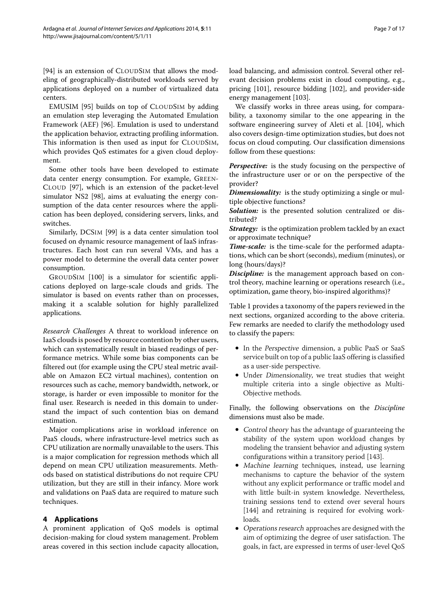[\[94\]](#page-14-34) is an extension of CLOUDSIM that allows the modeling of geographically-distributed workloads served by applications deployed on a number of virtualized data centers.

EMUSIM [\[95\]](#page-14-35) builds on top of CLOUDSIM by adding an emulation step leveraging the Automated Emulation Framework (AEF) [\[96\]](#page-15-0). Emulation is used to understand the application behavior, extracting profiling information. This information is then used as input for CLOUDSIM, which provides QoS estimates for a given cloud deployment.

Some other tools have been developed to estimate data center energy consumption. For example, GREEN-CLOUD [\[97\]](#page-15-1), which is an extension of the packet-level simulator NS2 [\[98\]](#page-15-2), aims at evaluating the energy consumption of the data center resources where the application has been deployed, considering servers, links, and switches.

Similarly, DCSIM [\[99\]](#page-15-3) is a data center simulation tool focused on dynamic resource management of IaaS infrastructures. Each host can run several VMs, and has a power model to determine the overall data center power consumption.

GROUDSIM [\[100\]](#page-15-4) is a simulator for scientific applications deployed on large-scale clouds and grids. The simulator is based on events rather than on processes, making it a scalable solution for highly parallelized applications.

*Research Challenges* A threat to workload inference on IaaS clouds is posed by resource contention by other users, which can systematically result in biased readings of performance metrics. While some bias components can be filtered out (for example using the CPU steal metric available on Amazon EC2 virtual machines), contention on resources such as cache, memory bandwidth, network, or storage, is harder or even impossible to monitor for the final user. Research is needed in this domain to understand the impact of such contention bias on demand estimation.

Major complications arise in workload inference on PaaS clouds, where infrastructure-level metrics such as CPU utilization are normally unavailable to the users. This is a major complication for regression methods which all depend on mean CPU utilization measurements. Methods based on statistical distributions do not require CPU utilization, but they are still in their infancy. More work and validations on PaaS data are required to mature such techniques.

## <span id="page-6-0"></span>**4 Applications**

A prominent application of QoS models is optimal decision-making for cloud system management. Problem areas covered in this section include capacity allocation,

load balancing, and admission control. Several other relevant decision problems exist in cloud computing, e.g., pricing [\[101\]](#page-15-5), resource bidding [\[102\]](#page-15-6), and provider-side energy management [\[103\]](#page-15-7).

We classify works in three areas using, for comparability, a taxonomy similar to the one appearing in the software engineering survey of Aleti et al. [\[104\]](#page-15-8), which also covers design-time optimization studies, but does not focus on cloud computing. Our classification dimensions follow from these questions:

**Perspective:** is the study focusing on the perspective of the infrastructure user or or on the perspective of the provider?

*Dimensionality:* is the study optimizing a single or multiple objective functions?

*Solution:* is the presented solution centralized or distributed?

*Strategy:* is the optimization problem tackled by an exact or approximate technique?

*Time-scale:* is the time-scale for the performed adaptations, which can be short (seconds), medium (minutes), or long (hours/days)?

*Discipline:* is the management approach based on control theory, machine learning or operations research (i.e., optimization, game theory, bio-inspired algorithms)?

Table [1](#page-7-0) provides a taxonomy of the papers reviewed in the next sections, organized according to the above criteria. Few remarks are needed to clarify the methodology used to classify the papers:

- In the Perspective dimension, a public PaaS or SaaS service built on top of a public IaaS offering is classified as a user-side perspective.
- Under Dimensionality, we treat studies that weight multiple criteria into a single objective as Multi-Objective methods.

Finally, the following observations on the *Discipline* dimensions must also be made.

- Control theory has the advantage of guaranteeing the stability of the system upon workload changes by modeling the transient behavior and adjusting system configurations within a transitory period [\[143\]](#page-16-0).
- Machine learning techniques, instead, use learning mechanisms to capture the behavior of the system without any explicit performance or traffic model and with little built-in system knowledge. Nevertheless, training sessions tend to extend over several hours [\[144\]](#page-16-1) and retraining is required for evolving workloads.
- Operations research approaches are designed with the aim of optimizing the degree of user satisfaction. The goals, in fact, are expressed in terms of user-level QoS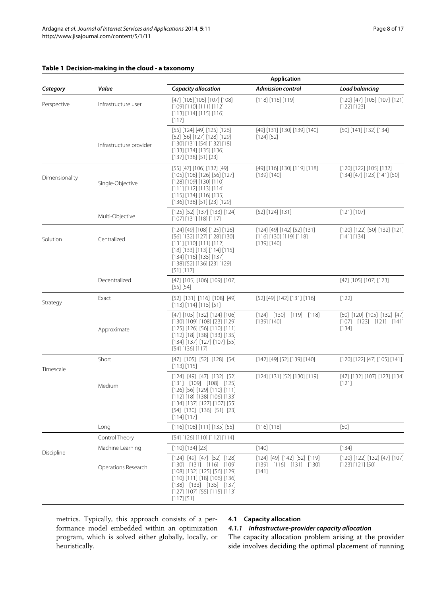## **Table 1 Decision-making in the cloud - a taxonomy**

<span id="page-7-0"></span>

| Category       | Value                      | <b>Application</b>                                                                                                                                                                                                 |                                                                             |                                                                                   |
|----------------|----------------------------|--------------------------------------------------------------------------------------------------------------------------------------------------------------------------------------------------------------------|-----------------------------------------------------------------------------|-----------------------------------------------------------------------------------|
|                |                            | Capacity allocation                                                                                                                                                                                                | <b>Admission control</b>                                                    | Load balancing                                                                    |
| Perspective    | Infrastructure user        | [47] [105] [106] [107] [108]<br>[109] [110] [111] [112]<br>[113] [114] [115] [116]<br>[117]                                                                                                                        | [118] [116] [119]                                                           | [120] [47] [105] [107] [121]<br>[122] [123]                                       |
|                | Infrastructure provider    | [55] [124] [49] [125] [126]<br>[52] [56] [127] [128] [129]<br>[130] [131] [54] [132] [18]<br>[133] [134] [135] [136]<br>[137] [138] [51] [23]                                                                      | [49] [131] [130] [139] [140]<br>[124] [52]                                  | [50] [141] [132] [134]                                                            |
| Dimensionality | Single-Objective           | $[55]$ [47] [106] [132] [49]<br>[105] [108] [126] [56] [127]<br>[128] [109] [130] [110]<br>[111] [112] [113] [114]<br>[115] [134] [116] [135]<br>[136] [138] [51] [23] [129]                                       | [49] [116] [130] [119] [118]<br>[139] [140]                                 | [120] [122] [105] [132]<br>[134] [47] [123] [141] [50]                            |
|                | Multi-Objective            | $[125]$ [52] [137] [133] [124]<br>[107] [131] [18] [117]                                                                                                                                                           | [52] [124] [131]                                                            | [121] [107]                                                                       |
| Solution       | Centralized                | [124] [49] [108] [125] [126]<br>[56] [132] [127] [128] [130]<br>$[131] [110] [111] [112]$<br>[18] [133] [113] [114] [115]<br>[134] [116] [135] [137]<br>[138] [52] [136] [23] [129]<br>[51] [117]                  | [124] [49] [142] [52] [131]<br>[116] [130] [119] [118]<br>[139] [140]       | [120] [122] [50] [132] [121]<br>[141] [134]                                       |
|                | Decentralized              | [47] [105] [106] [109] [107]<br>[55] [54]                                                                                                                                                                          |                                                                             | [47] [105] [107] [123]                                                            |
| Strategy       | Exact                      | $[52]$ $[131]$ $[116]$ $[108]$ $[49]$<br>[113] [114] [115] [51]                                                                                                                                                    | [52] [49] [142] [131] [116]                                                 | [122]                                                                             |
|                | Approximate                | [47] [105] [132] [124] [106]<br>[130] [109] [108] [23] [129]<br>$[125]$ [126] [56] [110] [111]<br>[112] [18] [138] [133] [135]<br>[134] [137] [127] [107] [55]<br>[54] [136] [117]                                 | $[124]$ $[130]$ $[119]$ $[118]$<br>[139] [140]                              | $[50]$ $[120]$ $[105]$ $[132]$ $[47]$<br>$[107]$ $[123]$ $[121]$ $[141]$<br>[134] |
| Timescale      | Short                      | $[47]$ $[105]$ $[52]$ $[128]$ $[54]$<br>[113] [115]                                                                                                                                                                | [142] [49] [52] [139] [140]                                                 | [120] [122] [47] [105] [141]                                                      |
|                | Medium                     | $[124]$ [49] [47] [132] [52]<br>$[131]$ $[109]$ $[108]$ $[125]$<br>$[126]$ [56] [129] [110] [111]<br>[112] [18] [138] [106] [133]<br>[134] [137] [127] [107] [55]<br>[54] [130] [136] [51] [23]<br>$[114]$ $[117]$ | [124] [131] [52] [130] [119]                                                | [47] [132] [107] [123] [134]<br>[121]                                             |
|                | Long                       | [116] [108] [111] [135] [55]                                                                                                                                                                                       | [116] [118]                                                                 | $[50]$                                                                            |
|                | Control Theory             | [54] [126] [110] [112] [114]                                                                                                                                                                                       |                                                                             |                                                                                   |
| Discipline     | Machine Learning           | [110] [134] [23]                                                                                                                                                                                                   | $[140]$                                                                     | [134]                                                                             |
|                | <b>Operations Research</b> | $[124]$ [49] [47] [52] [128]<br>$[130]$ $[131]$ $[116]$ $[109]$<br>[108] [132] [125] [56] [129]<br>[110] [111] [18] [106] [136]<br>$[138]$ $[133]$ $[135]$ $[137]$<br>[127] [107] [55] [115] [113]<br>[117] [51]   | $[124]$ [49] $[142]$ [52] [119]<br>$[139]$ $[116]$ $[131]$ $[130]$<br>[141] | [120] [122] [132] [47] [107]<br>[123] [121] [50]                                  |

metrics. Typically, this approach consists of a performance model embedded within an optimization program, which is solved either globally, locally, or heuristically.

## **4.1 Capacity allocation**

## *4.1.1 Infrastructure-provider capacity allocation*

The capacity allocation problem arising at the provider side involves deciding the optimal placement of running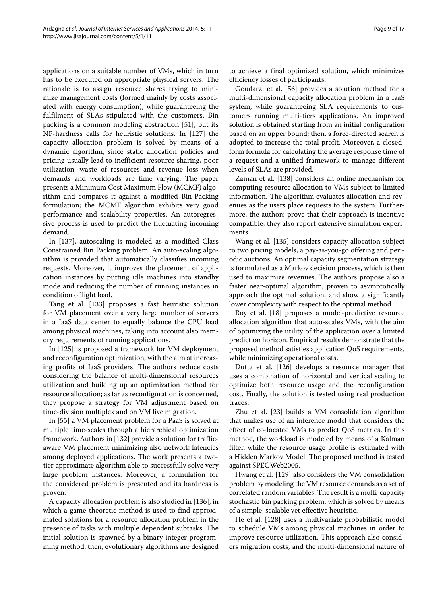applications on a suitable number of VMs, which in turn has to be executed on appropriate physical servers. The rationale is to assign resource shares trying to minimize management costs (formed mainly by costs associated with energy consumption), while guaranteeing the fulfilment of SLAs stipulated with the customers. Bin packing is a common modeling abstraction [\[51\]](#page-13-31), but its NP-hardness calls for heuristic solutions. In [\[127\]](#page-15-31) the capacity allocation problem is solved by means of a dynamic algorithm, since static allocation policies and pricing usually lead to inefficient resource sharing, poor utilization, waste of resources and revenue loss when demands and workloads are time varying. The paper presents a Minimum Cost Maximum Flow (MCMF) algorithm and compares it against a modified Bin-Packing formulation; the MCMF algorithm exhibits very good performance and scalability properties. An autoregressive process is used to predict the fluctuating incoming demand.

In [\[137\]](#page-16-6), autoscaling is modeled as a modified Class Constrained Bin Packing problem. An auto-scaling algorithm is provided that automatically classifies incoming requests. Moreover, it improves the placement of application instances by putting idle machines into standby mode and reducing the number of running instances in condition of light load.

Tang et al. [\[133\]](#page-16-2) proposes a fast heuristic solution for VM placement over a very large number of servers in a IaaS data center to equally balance the CPU load among physical machines, taking into account also memory requirements of running applications.

In [\[125\]](#page-15-29) is proposed a framework for VM deployment and reconfiguration optimization, with the aim at increasing profits of IaaS providers. The authors reduce costs considering the balance of multi-dimensional resources utilization and building up an optimization method for resource allocation; as far as reconfiguration is concerned, they propose a strategy for VM adjustment based on time-division multiplex and on VM live migration.

In [\[55\]](#page-14-0) a VM placement problem for a PaaS is solved at multiple time-scales through a hierarchical optimization framework. Authors in [\[132\]](#page-15-36) provide a solution for trafficaware VM placement minimizing also network latencies among deployed applications. The work presents a twotier approximate algorithm able to successfully solve very large problem instances. Moreover, a formulation for the considered problem is presented and its hardness is proven.

A capacity allocation problem is also studied in [\[136\]](#page-16-5), in which a game-theoretic method is used to find approximated solutions for a resource allocation problem in the presence of tasks with multiple dependent subtasks. The initial solution is spawned by a binary integer programming method; then, evolutionary algorithms are designed to achieve a final optimized solution, which minimizes efficiency losses of participants.

Goudarzi et al. [\[56\]](#page-14-1) provides a solution method for a multi-dimensional capacity allocation problem in a IaaS system, while guaranteeing SLA requirements to customers running multi-tiers applications. An improved solution is obtained starting from an initial configuration based on an upper bound; then, a force-directed search is adopted to increase the total profit. Moreover, a closedform formula for calculating the average response time of a request and a unified framework to manage different levels of SLAs are provided.

Zaman et al. [\[138\]](#page-16-7) considers an online mechanism for computing resource allocation to VMs subject to limited information. The algorithm evaluates allocation and revenues as the users place requests to the system. Furthermore, the authors prove that their approach is incentive compatible; they also report extensive simulation experiments.

Wang et al. [\[135\]](#page-16-4) considers capacity allocation subject to two pricing models, a pay-as-you-go offering and periodic auctions. An optimal capacity segmentation strategy is formulated as a Markov decision process, which is then used to maximize revenues. The authors propose also a faster near-optimal algorithm, proven to asymptotically approach the optimal solution, and show a significantly lower complexity with respect to the optimal method.

Roy et al. [\[18\]](#page-13-2) proposes a model-predictive resource allocation algorithm that auto-scales VMs, with the aim of optimizing the utility of the application over a limited prediction horizon. Empirical results demonstrate that the proposed method satisfies application QoS requirements, while minimizing operational costs.

Dutta et al. [\[126\]](#page-15-30) develops a resource manager that uses a combination of horizontal and vertical scaling to optimize both resource usage and the reconfiguration cost. Finally, the solution is tested using real production traces.

Zhu et al. [\[23\]](#page-13-7) builds a VM consolidation algorithm that makes use of an inference model that considers the effect of co-located VMs to predict QoS metrics. In this method, the workload is modeled by means of a Kalman filter, while the resource usage profile is estimated with a Hidden Markov Model. The proposed method is tested against SPECWeb2005.

Hwang et al. [\[129\]](#page-15-33) also considers the VM consolidation problem by modeling the VM resource demands as a set of correlated random variables. The result is a multi-capacity stochastic bin packing problem, which is solved by means of a simple, scalable yet effective heuristic.

He et al. [\[128\]](#page-15-32) uses a multivariate probabilistic model to schedule VMs among physical machines in order to improve resource utilization. This approach also considers migration costs, and the multi-dimensional nature of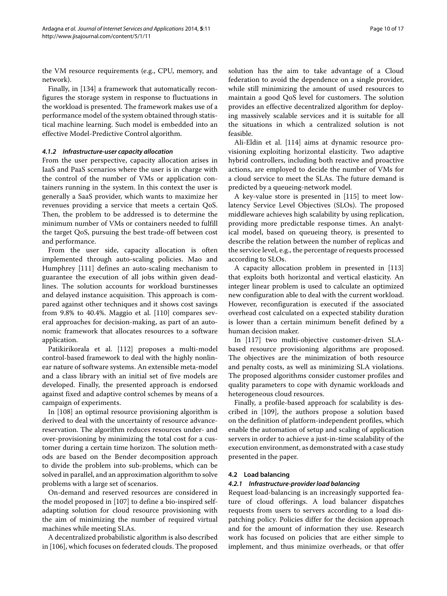the VM resource requirements (e.g., CPU, memory, and network).

Finally, in [\[134\]](#page-16-3) a framework that automatically reconfigures the storage system in response to fluctuations in the workload is presented. The framework makes use of a performance model of the system obtained through statistical machine learning. Such model is embedded into an effective Model-Predictive Control algorithm.

## *4.1.2 Infrastructure-user capacity allocation*

From the user perspective, capacity allocation arises in IaaS and PaaS scenarios where the user is in charge with the control of the number of VMs or application containers running in the system. In this context the user is generally a SaaS provider, which wants to maximize her revenues providing a service that meets a certain QoS. Then, the problem to be addressed is to determine the minimum number of VMs or containers needed to fulfill the target QoS, pursuing the best trade-off between cost and performance.

From the user side, capacity allocation is often implemented through auto-scaling policies. Mao and Humphrey [\[111\]](#page-15-15) defines an auto-scaling mechanism to guarantee the execution of all jobs within given deadlines. The solution accounts for workload burstinesses and delayed instance acquisition. This approach is compared against other techniques and it shows cost savings from 9.8% to 40.4%. Maggio et al. [\[110\]](#page-15-14) compares several approaches for decision-making, as part of an autonomic framework that allocates resources to a software application.

Patikirikorala et al. [\[112\]](#page-15-16) proposes a multi-model control-based framework to deal with the highly nonlinear nature of software systems. An extensible meta-model and a class library with an initial set of five models are developed. Finally, the presented approach is endorsed against fixed and adaptive control schemes by means of a campaign of experiments.

In [\[108\]](#page-15-12) an optimal resource provisioning algorithm is derived to deal with the uncertainty of resource advancereservation. The algorithm reduces resources under- and over-provisioning by minimizing the total cost for a customer during a certain time horizon. The solution methods are based on the Bender decomposition approach to divide the problem into sub-problems, which can be solved in parallel, and an approximation algorithm to solve problems with a large set of scenarios.

On-demand and reserved resources are considered in the model proposed in [\[107\]](#page-15-11) to define a bio-inspired selfadapting solution for cloud resource provisioning with the aim of minimizing the number of required virtual machines while meeting SLAs.

A decentralized probabilistic algorithm is also described in [\[106\]](#page-15-10), which focuses on federated clouds. The proposed

solution has the aim to take advantage of a Cloud federation to avoid the dependence on a single provider, while still minimizing the amount of used resources to maintain a good QoS level for customers. The solution provides an effective decentralized algorithm for deploying massively scalable services and it is suitable for all the situations in which a centralized solution is not feasible.

Ali-Eldin et al. [\[114\]](#page-15-18) aims at dynamic resource provisioning exploiting horizontal elasticity. Two adaptive hybrid controllers, including both reactive and proactive actions, are employed to decide the number of VMs for a cloud service to meet the SLAs. The future demand is predicted by a queueing-network model.

A key-value store is presented in [\[115\]](#page-15-19) to meet lowlatency Service Level Objectives (SLOs). The proposed middleware achieves high scalability by using replication, providing more predictable response times. An analytical model, based on queueing theory, is presented to describe the relation between the number of replicas and the service level, e.g., the percentage of requests processed according to SLOs.

A capacity allocation problem in presented in [\[113\]](#page-15-17) that exploits both horizontal and vertical elasticity. An integer linear problem is used to calculate an optimized new configuration able to deal with the current workload. However, reconfiguration is executed if the associated overhead cost calculated on a expected stability duration is lower than a certain minimum benefit defined by a human decision maker.

In [\[117\]](#page-15-21) two multi-objective customer-driven SLAbased resource provisioning algorithms are proposed. The objectives are the minimization of both resource and penalty costs, as well as minimizing SLA violations. The proposed algorithms consider customer profiles and quality parameters to cope with dynamic workloads and heterogeneous cloud resources.

Finally, a profile-based approach for scalability is described in [\[109\]](#page-15-13), the authors propose a solution based on the definition of platform-independent profiles, which enable the automation of setup and scaling of application servers in order to achieve a just-in-time scalability of the execution environment, as demonstrated with a case study presented in the paper.

#### **4.2 Load balancing**

## *4.2.1 Infrastructure-provider load balancing*

Request load-balancing is an increasingly supported feature of cloud offerings. A load balancer dispatches requests from users to servers according to a load dispatching policy. Policies differ for the decision approach and for the amount of information they use. Research work has focused on policies that are either simple to implement, and thus minimize overheads, or that offer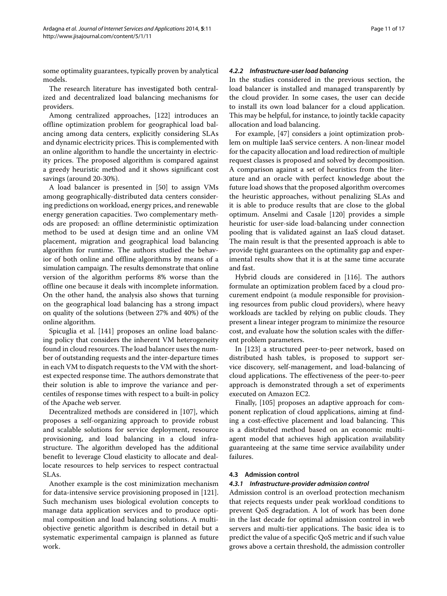some optimality guarantees, typically proven by analytical models.

The research literature has investigated both centralized and decentralized load balancing mechanisms for providers.

Among centralized approaches, [\[122\]](#page-15-26) introduces an offline optimization problem for geographical load balancing among data centers, explicitly considering SLAs and dynamic electricity prices. This is complemented with an online algorithm to handle the uncertainty in electricity prices. The proposed algorithm is compared against a greedy heuristic method and it shows significant cost savings (around 20-30%).

A load balancer is presented in [\[50\]](#page-13-35) to assign VMs among geographically-distributed data centers considering predictions on workload, energy prices, and renewable energy generation capacities. Two complementary methods are proposed: an offline deterministic optimization method to be used at design time and an online VM placement, migration and geographical load balancing algorithm for runtime. The authors studied the behavior of both online and offline algorithms by means of a simulation campaign. The results demonstrate that online version of the algorithm performs 8% worse than the offline one because it deals with incomplete information. On the other hand, the analysis also shows that turning on the geographical load balancing has a strong impact on quality of the solutions (between 27% and 40%) of the online algorithm.

Spicuglia et al. [\[141\]](#page-16-10) proposes an online load balancing policy that considers the inherent VM heterogeneity found in cloud resources. The load balancer uses the number of outstanding requests and the inter-departure times in each VM to dispatch requests to the VM with the shortest expected response time. The authors demonstrate that their solution is able to improve the variance and percentiles of response times with respect to a built-in policy of the Apache web server.

Decentralized methods are considered in [\[107\]](#page-15-11), which proposes a self-organizing approach to provide robust and scalable solutions for service deployment, resource provisioning, and load balancing in a cloud infrastructure. The algorithm developed has the additional benefit to leverage Cloud elasticity to allocate and deallocate resources to help services to respect contractual SLAs.

Another example is the cost minimization mechanism for data-intensive service provisioning proposed in [\[121\]](#page-15-25). Such mechanism uses biological evolution concepts to manage data application services and to produce optimal composition and load balancing solutions. A multiobjective genetic algorithm is described in detail but a systematic experimental campaign is planned as future work.

## *4.2.2 Infrastructure-user load balancing*

In the studies considered in the previous section, the load balancer is installed and managed transparently by the cloud provider. In some cases, the user can decide to install its own load balancer for a cloud application. This may be helpful, for instance, to jointly tackle capacity allocation and load balancing.

For example, [\[47\]](#page-13-28) considers a joint optimization problem on multiple IaaS service centers. A non-linear model for the capacity allocation and load redirection of multiple request classes is proposed and solved by decomposition. A comparison against a set of heuristics from the literature and an oracle with perfect knowledge about the future load shows that the proposed algorithm overcomes the heuristic approaches, without penalizing SLAs and it is able to produce results that are close to the global optimum. Anselmi and Casale [\[120\]](#page-15-24) provides a simple heuristic for user-side load-balancing under connection pooling that is validated against an IaaS cloud dataset. The main result is that the presented approach is able to provide tight guarantees on the optimality gap and experimental results show that it is at the same time accurate and fast.

Hybrid clouds are considered in [\[116\]](#page-15-20). The authors formulate an optimization problem faced by a cloud procurement endpoint (a module responsible for provisioning resources from public cloud providers), where heavy workloads are tackled by relying on public clouds. They present a linear integer program to minimize the resource cost, and evaluate how the solution scales with the different problem parameters.

In [\[123\]](#page-15-27) a structured peer-to-peer network, based on distributed hash tables, is proposed to support service discovery, self-management, and load-balancing of cloud applications. The effectiveness of the peer-to-peer approach is demonstrated through a set of experiments executed on Amazon EC2.

Finally, [\[105\]](#page-15-9) proposes an adaptive approach for component replication of cloud applications, aiming at finding a cost-effective placement and load balancing. This is a distributed method based on an economic multiagent model that achieves high application availability guaranteeing at the same time service availability under failures.

#### **4.3 Admission control**

## *4.3.1 Infrastructure-provider admission control*

Admission control is an overload protection mechanism that rejects requests under peak workload conditions to prevent QoS degradation. A lot of work has been done in the last decade for optimal admission control in web servers and multi-tier applications. The basic idea is to predict the value of a specific QoS metric and if such value grows above a certain threshold, the admission controller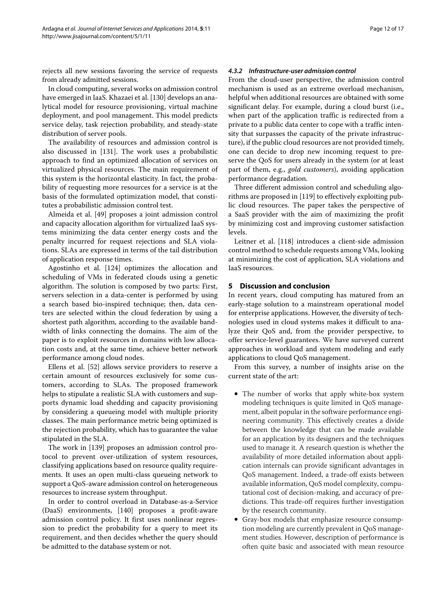rejects all new sessions favoring the service of requests from already admitted sessions.

In cloud computing, several works on admission control have emerged in IaaS. Khazaei et al. [\[130\]](#page-15-34) develops an analytical model for resource provisioning, virtual machine deployment, and pool management. This model predicts service delay, task rejection probability, and steady-state distribution of server pools.

The availability of resources and admission control is also discussed in [\[131\]](#page-15-35). The work uses a probabilistic approach to find an optimized allocation of services on virtualized physical resources. The main requirement of this system is the horizontal elasticity. In fact, the probability of requesting more resources for a service is at the basis of the formulated optimization model, that constitutes a probabilistic admission control test.

Almeida et al. [\[49\]](#page-13-30) proposes a joint admission control and capacity allocation algorithm for virtualized IaaS systems minimizing the data center energy costs and the penalty incurred for request rejections and SLA violations. SLAs are expressed in terms of the tail distribution of application response times.

Agostinho et al. [\[124\]](#page-15-28) optimizes the allocation and scheduling of VMs in federated clouds using a genetic algorithm. The solution is composed by two parts: First, servers selection in a data-center is performed by using a search based bio-inspired technique; then, data centers are selected within the cloud federation by using a shortest path algorithm, according to the available bandwidth of links connecting the domains. The aim of the paper is to exploit resources in domains with low allocation costs and, at the same time, achieve better network performance among cloud nodes.

Ellens et al. [\[52\]](#page-13-32) allows service providers to reserve a certain amount of resources exclusively for some customers, according to SLAs. The proposed framework helps to stipulate a realistic SLA with customers and supports dynamic load shedding and capacity provisioning by considering a queueing model with multiple priority classes. The main performance metric being optimized is the rejection probability, which has to guarantee the value stipulated in the SLA.

The work in [\[139\]](#page-16-8) proposes an admission control protocol to prevent over-utilization of system resources, classifying applications based on resource quality requirements. It uses an open multi-class queueing network to support a QoS-aware admission control on heterogeneous resources to increase system throughput.

In order to control overload in Database-as-a-Service (DaaS) environments, [\[140\]](#page-16-9) proposes a profit-aware admission control policy. It first uses nonlinear regression to predict the probability for a query to meet its requirement, and then decides whether the query should be admitted to the database system or not.

## *4.3.2 Infrastructure-user admission control*

From the cloud-user perspective, the admission control mechanism is used as an extreme overload mechanism, helpful when additional resources are obtained with some significant delay. For example, during a cloud burst (i.e., when part of the application traffic is redirected from a private to a public data center to cope with a traffic intensity that surpasses the capacity of the private infrastructure), if the public cloud resources are not provided timely, one can decide to drop new incoming request to preserve the QoS for users already in the system (or at least part of them, e.g., *gold customers*), avoiding application performance degradation.

Three different admission control and scheduling algorithms are proposed in [\[119\]](#page-15-23) to effectively exploiting public cloud resources. The paper takes the perspective of a SaaS provider with the aim of maximizing the profit by minimizing cost and improving customer satisfaction levels.

Leitner et al. [\[118\]](#page-15-22) introduces a client-side admission control method to schedule requests among VMs, looking at minimizing the cost of application, SLA violations and IaaS resources.

## <span id="page-11-0"></span>**5 Discussion and conclusion**

In recent years, cloud computing has matured from an early-stage solution to a mainstream operational model for enterprise applications. However, the diversity of technologies used in cloud systems makes it difficult to analyze their QoS and, from the provider perspective, to offer service-level guarantees. We have surveyed current approaches in workload and system modeling and early applications to cloud QoS management.

From this survey, a number of insights arise on the current state of the art:

- The number of works that apply white-box system modeling techniques is quite limited in QoS management, albeit popular in the software performance engineering community. This effectively creates a divide between the knowledge that can be made available for an application by its designers and the techniques used to manage it. A research question is whether the availability of more detailed information about application internals can provide significant advantages in QoS management. Indeed, a trade-off exists between available information, QoS model complexity, computational cost of decision-making, and accuracy of predictions. This trade-off requires further investigation by the research community.
- Gray-box models that emphasize resource consumption modeling are currently prevalent in QoS management studies. However, description of performance is often quite basic and associated with mean resource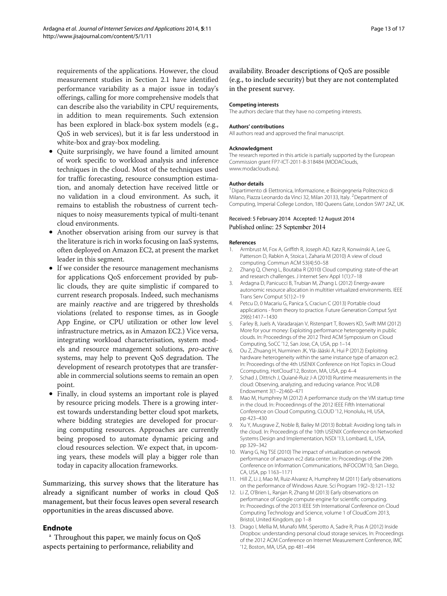requirements of the applications. However, the cloud measurement studies in Section [2.1](#page-1-1) have identified performance variability as a major issue in today's offerings, calling for more comprehensive models that can describe also the variability in CPU requirements, in addition to mean requirements. Such extension has been explored in black-box system models (e.g., QoS in web services), but it is far less understood in white-box and gray-box modeling.

- Quite surprisingly, we have found a limited amount of work specific to workload analysis and inference techniques in the cloud. Most of the techniques used for traffic forecasting, resource consumption estimation, and anomaly detection have received little or no validation in a cloud environment. As such, it remains to establish the robustness of current techniques to noisy measurements typical of multi-tenant cloud environments.
- Another observation arising from our survey is that the literature is rich in works focusing on IaaS systems, often deployed on Amazon EC2, at present the market leader in this segment.
- If we consider the resource management mechanisms for applications QoS enforcement provided by public clouds, they are quite simplistic if compared to current research proposals. Indeed, such mechanisms are mainly reactive and are triggered by thresholds violations (related to response times, as in Google App Engine, or CPU utilization or other low level infrastructure metrics, as in Amazon EC2.) Vice versa, integrating workload characterisation, system models and resource management solutions, pro-active systems, may help to prevent QoS degradation. The development of research prototypes that are transferable in commercial solutions seems to remain an open point.
- Finally, in cloud systems an important role is played by resource pricing models. There is a growing interest towards understanding better cloud spot markets, where bidding strategies are developed for procuring computing resources. Approaches are currently being proposed to automate dynamic pricing and cloud resources selection. We expect that, in upcoming years, these models will play a bigger role than today in capacity allocation frameworks.

Summarizing, this survey shows that the literature has already a significant number of works in cloud QoS management, but their focus leaves open several research opportunities in the areas discussed above.

## **Endnote**

<sup>a</sup> Throughout this paper, we mainly focus on QoS aspects pertaining to performance, reliability and

#### **Competing interests**

The authors declare that they have no competing interests.

#### **Authors' contributions**

All authors read and approved the final manuscript.

#### **Acknowledgment**

The research reported in this article is partially supported by the European Commission grant FP7-ICT-2011-8-318484 (MODAClouds, www.modaclouds.eu).

#### **Author details**

<sup>1</sup> Dipartimento di Elettronica, Informazione, e Bioingegneria Politecnico di Milano, Piazza Leonardo da Vinci 32, Milan 20133, Italy. 2Department of Computing, Imperial College London, 180 Queens Gate, London SW7 2AZ, UK.

#### Received: 5 February 2014 Accepted: 12 August 2014 Published online: 25 September 2014

#### **References**

- <span id="page-12-0"></span>Armbrust M, Fox A, Griffith R, Joseph AD, Katz R, Konwinski A, Lee G, Patterson D, Rabkin A, Stoica I, Zaharia M (2010) A view of cloud computing. Commun ACM 53(4):50–58
- <span id="page-12-1"></span>2. Zhang Q, Cheng L, Boutaba R (2010) Cloud computing: state-of-the-art and research challenges. J Internet Serv Appl 1(1):7–18
- <span id="page-12-2"></span>3. Ardagna D, Panicucci B, Trubian M, Zhang L (2012) Energy-aware autonomic resource allocation in multitier virtualized environments. IEEE Trans Serv Comput 5(1):2–19
- <span id="page-12-3"></span>4. Petcu D, 0 Macariu G, Panica S, Craciun C (2013) Portable cloud applications - from theory to practice. Future Generation Comput Syst 29(6):1417–1430
- <span id="page-12-4"></span>5. Farley B, Juels A, Varadarajan V, Ristenpart T, Bowers KD, Swift MM (2012) More for your money: Exploiting performance heterogeneity in public clouds. In: Proceedings of the 2012 Third ACM Symposium on Cloud Computing, SoCC '12, San Jose, CA, USA, pp 1–14
- 6. Ou Z, Zhuang H, Nurminen JK, Ylä-Jääski A, Hui P (2012) Exploiting hardware heterogeneity within the same instance type of amazon ec2. In: Proceedings of the 4th USENIX Conference on Hot Topics in Cloud Ccomputing, HotCloud'12, Boston, MA, USA, pp 4–4
- <span id="page-12-5"></span>7. Schad J, Dittrich J, Quiané-Ruiz J-A (2010) Runtime measurements in the cloud: Observing, analyzing, and reducing variance. Proc VLDB Endowment 3(1–2):460–471
- <span id="page-12-6"></span>8. Mao M, Humphrey M (2012) A performance study on the VM startup time in the cloud. In: Proceedinngs of the 2012 IEEE Fifth International Conference on Cloud Computing, CLOUD '12, Honolulu, HI, USA, pp 423–430
- <span id="page-12-7"></span>9. Xu Y, Musgrave Z, Noble B, Bailey M (2013) Bobtail: Avoiding long tails in the cloud. In: Proceedings of the 10th USENIX Conference on Networked Systems Design and Implementation, NSDI '13, Lombard, IL, USA, pp 329–342
- <span id="page-12-8"></span>10. Wang G, Ng TSE (2010) The impact of virtualization on network performance of amazon ec2 data center. In: Proceedings of the 29th Conference on Information Communications, INFOCOM'10, San Diego, CA, USA, pp 1163–1171
- <span id="page-12-9"></span>11. Hill Z, Li J, Mao M, Ruiz-Alvarez A, Humphrey M (2011) Early observations on the performance of Windows Azure. Sci Program 19(2–3):121–132
- <span id="page-12-10"></span>12. Li Z, O'Brien L, Ranjan R, Zhang M (2013) Early observations on performance of Google compute engine for scientific computing. In: Proceedings of the 2013 IEEE 5th International Conference on Cloud Computing Technology and Science, volume 1 of CloudCom 2013, Bristol, United Kingdom, pp 1–8
- <span id="page-12-11"></span>13. Drago I, Mellia M, Munafo MM, Sperotto A, Sadre R, Pras A (2012) Inside Dropbox: understanding personal cloud storage services. In: Proceedings of the 2012 ACM Conference on Internet Measurement Conference, IMC '12, Boston, MA, USA, pp 481–494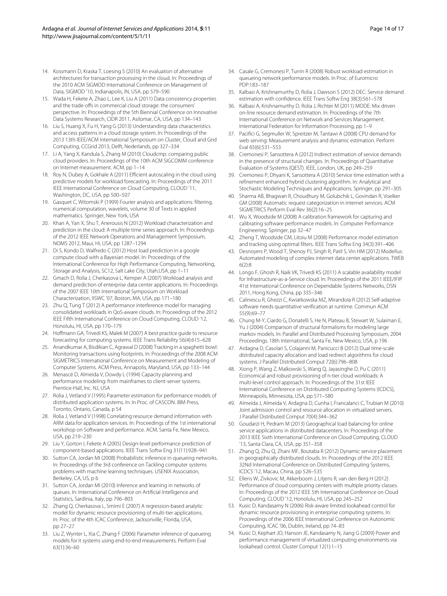- 14. Kossmann D, Kraska T, Loesing S (2010) An evaluation of alternative architectures for transaction processing in the cloud. In: Proceedings of the 2010 ACM SIGMOD International Conference on Management of Data, SIGMOD '10, Indianapolis, IN, USA, pp 579–590
- 15. Wada H, Fekete A, Zhao L, Lee K, Liu A (2011) Data consistency properties and the trade-offs in commercial cloud storage: the consumers' perspective. In: Proceedings of the 5th Biennial Conference on Innovative Data Systems Research, CIDR 2011, Asilomar, CA, USA, pp 134–143
- <span id="page-13-0"></span>16. Liu S, Huang X, Fu H, Yang G (2013) Understanding data characteristics and access patterns in a cloud storage system. In: Proceedings of the 2013 13th IEEE/ACM International Symposium on Cluster, Cloud and Grid Computing, CCGrid 2013, Delft, Nederlands, pp 327–334
- <span id="page-13-1"></span>17. Li A, Yang X, Kandula S, Zhang M (2010) Cloudcmp: comparing public cloud providers. In: Proceedings of the 10th ACM SIGCOMM conference on Internet measurement. ACM, pp 1–14
- <span id="page-13-2"></span>18. Roy N, Dubey A, Gokhale A (2011) Efficient autoscaling in the cloud using predictive models for workload forecasting. In: Proceedings of the 2011 IEEE International Conference on Cloud Computing, CLOUD '11, Washington, DC, USA, pp 500–507
- <span id="page-13-3"></span>19. Gasquet C, Witomski P (1999) Fourier analysis and applications: filtering, numerical computation, wavelets, volume 30 of Texts in applied mathematics. Springer, New York, USA
- <span id="page-13-4"></span>20. Khan A, Yan X, Shu T, Anerousis N (2012) Workload characterization and prediction in the cloud: A multiple time series approach. In: Proceedings of the 2012 IEEE Network Operations and Management Symposium, NOMS 2012, Maui, HI, USA, pp 1287–1294
- <span id="page-13-6"></span>21. Di S, Kondo D, Walfredo C (2012) Host load prediction in a google compute cloud with a Bayesian model. In: Proceedings of the International Conference for High Performance Computing, Networking, Storage and Analysis, SC12, Salt Lake City, Utah,USA, pp 1–11
- <span id="page-13-5"></span>22. Gmach D, Rolia J, Cherkasova L, Kemper A (2007) Workload analysis and demand prediction of enterprise data center applications. In: Proceedings of the 2007 IEEE 10th International Symposium on Workload Characterization, IISWC '07, Boston, MA, USA, pp 171–180
- <span id="page-13-7"></span>23. Zhu Q, Tung T (2012) A performance interference model for managing consolidated workloads in QoS-aware clouds. In: Proceedings of the 2012 IEEE Fifth International Conference on Cloud Computing, CLOUD '12, Honolulu, HI, USA, pp 170–179
- <span id="page-13-8"></span>24. Hoffmann GA, Trivedi KS, Malek M (2007) A best practice guide to resource forecasting for computing systems. IEEE Trans Reliability 56(4):615–628
- <span id="page-13-9"></span>25. Anandkumar A, Bisdikian C, Agrawal D (2008) Tracking in a spaghetti bowl: Monitoring transactions using footprints. In: Proceedings of the 2008 ACM SIGMETRICS International Conference on Measurement and Modeling of Computer Systems. ACM Press, Annapolis, Maryland, USA, pp 133–144
- <span id="page-13-10"></span>26. Menascé D, Almeida V, Dowdy L (1994) Capacity planning and performance modeling: from mainframes to client-server systems. Prentice-Hall, Inc. NJ, USA
- 27. Rolia J, Vetland V (1995) Parameter estimation for performance models of distributed application systems. In: In Proc. of CASCON. IBM Press, Toronto, Ontario, Canada, p 54
- <span id="page-13-11"></span>28. Rolia J, Vetland V (1998) Correlating resource demand information with ARM data for application services. In: Proceedings of the 1st international workshop on Software and performance. ACM, Santa Fe, New Mexico, USA, pp 219–230
- <span id="page-13-12"></span>29. Liu Y, Gorton I, Fekete A (2005) Design-level performance prediction of component-based applications. IEEE Trans Softw Eng 31(11):928–941
- 30. Sutton CA, Jordan MI (2008) Probabilistic inference in queueing networks. In: Proceedings of the 3rd conference on Tackling computer systems problems with machine learning techniques. USENIX Association, Berkeley, CA, US, p 6
- 31. Sutton CA, Jordan MI (2010) Inference and learning in networks of queues. In: International Conference on Artificial Intelligence and Statistics, Sardinia, Italy, pp 796–803
- <span id="page-13-14"></span>32. Zhang Q, Cherkasova L, Smirni E (2007) A regression-based analytic model for dynamic resource provisioning of multi-tier applications. In: Proc. of the 4th ICAC Conference, Jacksonville, Florida, USA, pp 27–27
- <span id="page-13-13"></span>33. Liu Z, Wynter L, Xia C, Zhang F (2006) Parameter inference of queueing models for it systems using end-to-end measurements. Perform Eval 63(1):36–60
- <span id="page-13-15"></span>34. Casale G, Cremonesi P, Turrin R (2008) Robust workload estimation in queueing network performance models. In Proc. of Euromicro PDP:183–187
- <span id="page-13-16"></span>35. Kalbasi A, Krishnamurthy D, Rolia J, Dawson S (2012) DEC: Service demand estimation with confidence. IEEE Trans Softw Eng 38(3):561–578
- <span id="page-13-17"></span>36. Kalbasi A, Krishnamurthy D, Rolia J, Richter M (2011) MODE: Mix driven on-line resource demand estimation. In: Proceedings of the 7th International Conference on Network and Services Management. International Federation for Information Processing, pp 1–9
- <span id="page-13-18"></span>37. Pacifici G, Segmuller W, Spreitzer M, Tantawi A (2008) CPU demand for web serving: Measurement analysis and dynamic estimation. Perform Eval 65(6):531–553
- <span id="page-13-19"></span>38. Cremonesi P, Sansottera A (2012) Indirect estimation of service demands in the presence of structural changes. In: Proceedings of Quantitative Evaluation of Systems (QEST). IEEE, London, UK, pp 249–259
- <span id="page-13-20"></span>39. Cremonesi P, Dhyani K, Sansottera A (2010) Service time estimation with a refinement enhanced hybrid clustering algorithm. In: Analytical and Stochastic Modeling Techniques and Applications. Springer, pp 291–305
- <span id="page-13-21"></span>40. Sharma AB, Bhagwan R, Choudhury M, Golubchik L, Govindan R, Voelker GM (2008) Automatic request categorization in internet services. ACM SIGMETRICS Perform Eval Rev 36(2):16–25
- <span id="page-13-22"></span>41. Wu X, Woodside M (2008) A calibration framework for capturing and calibrating software performance models. In: Computer Performance Engineering. Springer, pp 32–47
- <span id="page-13-23"></span>42. Zheng T, Woodside CM, Litoiu M (2008) Performance model estimation and tracking using optimal filters. IEEE Trans Softw Eng 34(3):391–406
- <span id="page-13-24"></span>43. Desnoyers P, Wood T, Shenoy PJ, Singh R, Patil S, Vin HM (2012) Modellus: Automated modeling of complex internet data center applications. TWEB  $6(2)8$
- <span id="page-13-25"></span>44. Longo F, Ghosh R, Naik VK, Trivedi KS (2011) A scalable availability model for Infrastructure-as-a-Service cloud. In: Proceedings of the 2011 IEEE/IFIP 41st International Conference on Dependable Systems Networks, DSN 2011, Hong Kong, China, pp 335–346
- <span id="page-13-26"></span>45. Calinescu R, Ghezzi C, Kwiatkowska MZ, Mirandola R (2012) Self-adaptive software needs quantitative verification at runtime. Commun ACM 55(9):69–77
- <span id="page-13-27"></span>46. Chung M-Y, Ciardo G, Donatelli S, He N, Plateau B, Stewart W, Sulaiman E, Yu J (2004) Comparison of structural formalisms for modeling large markov models. In: Parallel and Distributed Processing Symposium, 2004 Proceedings. 18th International, Santa Fe, New Mexico, USA, p 196
- <span id="page-13-28"></span>47. Ardagna D, Casolari S, Colajanni M, Panicucci B (2012) Dual time-scale distributed capacity allocation and load redirect algorithms for cloud systems. J Parallel Distributed Comput 72(6):796–808
- <span id="page-13-29"></span>48. Xiong P, Wang Z, Malkowski S, Wang Q, Jayasinghe D, Pu C (2011) Economical and robust provisioning of n-tier cloud workloads: A multi-level control approach. In: Proceedings of the 31st IEEE International Conference on Distributed Computing Systems (ICDCS), Minneapolis, Minnesota, USA, pp 571–580
- <span id="page-13-30"></span>49. Almeida J, Almeida V, Ardagna D, Cunha I, Francalanci C, Trubian M (2010) Joint admission control and resource allocation in virtualized servers. J Parallel Distributed Comput 70(4):344–362
- <span id="page-13-35"></span>50. Goudarzi H, Pedram M (2013) Geographical load balancing for online service applications in distributed datacenters. In: Proceedings of the 2013 IEEE Sixth International Conference on Cloud Computing, CLOUD '13, Santa Clara, CA, USA, pp 351–358
- <span id="page-13-31"></span>51. Zhang Q, Zhu Q, Zhani MF, Boutaba R (2012) Dynamic service placement in geographically distributed clouds. In: Proceedings of the 2012 IEEE 32Nd International Conference on Distributed Computing Systems, ICDCS '12, Macau, China, pp 526–535
- <span id="page-13-32"></span>52. Ellens W, Zivkovic M, Akkerboom J, Litjens R, van den Berg H (2012) Performance of cloud computing centers with multiple priority classes. In: Proceedings of the 2012 IEEE 5th International Conference on Cloud Computing, CLOUD '12, Honolulu, HI, USA, pp 245–252
- <span id="page-13-33"></span>53. Kusic D, Kandasamy N (2006) Risk-aware limited lookahead control for dynamic resource provisioning in enterprise computing systems. In: Proceedings of the 2006 IEEE International Conference on Autonomic Computing, ICAC '06, Dublin, Ireland, pp 74–83
- <span id="page-13-34"></span>54. Kusic D, Kephart JO, Hanson JE, Kandasamy N, Jiang G (2009) Power and performance management of virtualized computing environments via lookahead control. Cluster Comput 12(1):1–15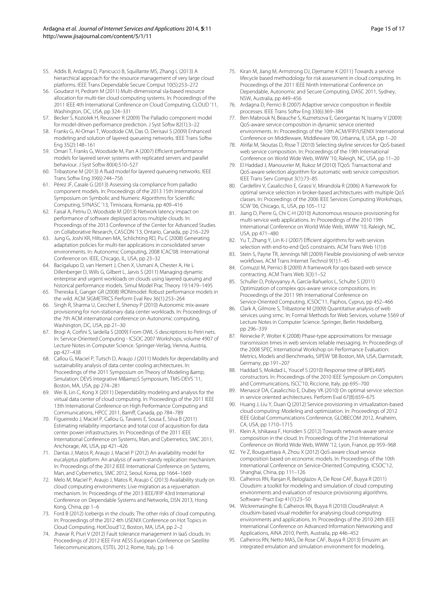- <span id="page-14-0"></span>55. Addis B, Ardagna D, Panicucci B, Squillante MS, Zhang L (2013) A hierarchical approach for the resource management of very large cloud platforms. IEEE Trans Dependable Secure Comput 10(5):253–272
- <span id="page-14-1"></span>56. Goudarzi H, Pedram M (2011) Multi-dimensional sla-based resource allocation for multi-tier cloud computing systems. In: Proceedings of the 2011 IEEE 4th International Conference on Cloud Computing, CLOUD '11, Washington, DC, USA, pp 324–331
- <span id="page-14-2"></span>57. Becker S, Koziolek H, Reussner R (2009) The Palladio component model for model-driven performance prediction. J Syst Softw 82(1):3–22
- <span id="page-14-3"></span>58. Franks G, Al-Omari T, Woodside CM, Das O, Derisavi S (2009) Enhanced modeling and solution of layered queueing networks. IEEE Trans Softw Eng 35(2):148–161
- 59. Omari T, Franks G, Woodside M, Pan A (2007) Efficient performance models for layered server systems with replicated servers and parallel behaviour. J Syst Softw 80(4):510–527
- 60. Tribastone M (2013) A fluid model for layered queueing networks. IEEE Trans Softw Eng 39(6):744–756
- <span id="page-14-4"></span>61. Pérez JF, Casale G (2013) Assessing sla compliance from palladio component models. In: Proceedings of the 2013 15th International Symposium on Symbolic and Numeric Algorithms for Scientific Computing, SYNASC '13, Timisoara, Romania, pp 409–416
- <span id="page-14-5"></span>62. Faisal A, Petriu D, Woodside M (2013) Network latency impact on performance of software deployed across multiple clouds. In: Proceedings of the 2013 Conference of the Center for Advanced Studies on Collaborative Research, CASCON '13, Ontario, Canada, pp 216–229
- <span id="page-14-6"></span>63. Jung G, Joshi KR, Hiltunen MA, Schlichting RD, Pu C (2008) Generating adaptation policies for multi-tier applications in consolidated server environments. In: Autonomic Computing, 2008 ICAC'08. International Conference on. IEEE, Chicago, IL, USA, pp 23–32
- <span id="page-14-7"></span>64. Bacigalupo D, van Hemert J, Chen X, Usmani A, Chester A, He L Dillenberger D, Wills G, Gilbert L, Jarvis S (2011) Managing dynamic enterprise and urgent workloads on clouds using layered queuing and historical performance models. Simul Model Prac Theory 19:1479–1495
- <span id="page-14-8"></span>65. Thereska E, Ganger GR (2008) IRONmodel: Robust performance models in the wild. ACM SIGMETRICS Perform Eval Rev 36(1):253–264
- <span id="page-14-9"></span>66. Singh R, Sharma U, Cecchet E, Shenoy P (2010) Autonomic mix-aware provisioning for non-stationary data center workloads. In: Proceedings of the 7th ACM international conference on Autonomic computing, Washington, DC, USA, pp 21–30
- <span id="page-14-10"></span>67. Brogi A, Corfini S, Iardella S (2009) From OWL-S descriptions to Petri nets. In: Service-Oriented Computing - ICSOC 2007 Workshops, volume 4907 of Lecture Notes in Computer Science. Springer-Verlag, Vienna, Austria, pp 427–438
- <span id="page-14-11"></span>68. Callou G, Maciel P, Tutsch D, Araujo J (2011) Models for dependability and sustainability analysis of data center cooling architectures. In: Proceedings of the 2011 Symposium on Theory of Modeling & Simulation: DEVS Integrative M&S Symposium, TMS-DEVS '11, Boston, MA, USA, pp 274–281
- <span id="page-14-12"></span>69. Wei B, Lin C, Kong X (2011) Dependability modeling and analysis for the virtual data center of cloud computing. In: Proceedings of the 2011 IEEE 13th International Conference on High Performance Computing and Communications, HPCC 2011, Bamff, Canada, pp 784–789
- <span id="page-14-13"></span>70. Figueiredo J, Maciel P, Callou G, Tavares E, Sousa E, Silva B (2011) Estimating reliability importance and total cost of acquisition for data center power infrastructures. In: Proceedings of the 2011 IEEE International Conference on Systems, Man, and Cybernetics, SMC 2011, Anchorage, AK, USA, pp 421–426
- <span id="page-14-14"></span>71. Dantas J, Matos R, Araujo J, Maciel P (2012) An availability model for eucalyptus platform: An analysis of warm-standy replication mechanism. In: Proceedings of the 2012 IEEE International Conference on Systems, Man, and Cybernetics, SMC 2012, Seoul, Korea, pp 1664–1669
- <span id="page-14-15"></span>72. Melo M, Maciel P, Araujo J, Matos R, Araujo C (2013) Availability study on cloud computing environments: Live migration as a rejuvenation mechanism. In: Proceedings of the 2013 IEEE/IFIP 43rd International Conference on Dependable Systems and Networks, DSN 2013, Hong Kong, China, pp 1–6
- <span id="page-14-16"></span>73. Ford B (2012) Icebergs in the clouds: The other risks of cloud computing. In: Proceedings of the 2012 4th USENIX Conference on Hot Topics in Cloud Computing, HotCloud'12, Boston, MA, USA, pp 2–2
- <span id="page-14-17"></span>74. Jhawar R, Piuri V (2012) Fault tolerance management in IaaS clouds. In: Proceedings of 2012 IEEE First AESS European Conference on Satellite Telecommunications, ESTEL 2012, Rome, Italy, pp 1–6
- <span id="page-14-18"></span>75. Kiran M, Jiang M, Armstrong DJ, Djemame K (2011) Towards a service lifecycle based methodology for risk assessment in cloud computing. In: Proceedings of the 2011 IEEE Ninth International Conference on Dependable, Autonomic and Secure Computing, DASC 2011, Sydney, NSW, Australia, pp 449–456
- <span id="page-14-19"></span>76. Ardagna D, Pernici B (2007) Adaptive service composition in flexible processes. IEEE Trans Softw Eng 33(6):369–384
- <span id="page-14-20"></span>77. Ben Mabrouk N, Beauche S, Kuznetsova E, Georgantas N, Issarny V (2009) QoS-aware service composition in dynamic service oriented environments. In: Proceedings of the 10th ACM/IFIP/USENIX International Conference on Middleware, Middleware '09, Urbanna, Il, USA, pp 1–20
- 78. Alrifai M, Skoutas D, Risse T (2010) Selecting skyline services for QoS-based web service composition. In: Proceedings of the 19th International Conference on World Wide Web, WWW '10, Raleigh, NC, USA, pp 11–20
- 79. El Haddad J, Manouvrier M, Rukoz M (2010) TQoS: Transactional and QoS-aware selection algorithm for automatic web service composition. IEEE Trans Serv Comput 3(1):73–85
- 80. Cardellini V, Casalicchio E, Grassi V, Mirandola R (2006) A framework for optimal service selection in broker-based architectures with multiple QoS classes. In: Proceedings of the 2006 IEEE Services Computing Workshops, SCW '06, Chicago, IL, USA, pp 105–112
- <span id="page-14-21"></span>81. Jiang D, Pierre G, Chi C-H (2010) Autonomous resource provisioning for multi-service web applications. In: Proceedings of the 2010 19th International Conference on World Wide Web, WWW '10, Raleigh, NC, USA, pp 471–480
- <span id="page-14-22"></span>82. Yu T, Zhang Y, Lin K-J (2007) Efficient algorithms for web services selection with end-to-end QoS constraints. ACM Trans Web 1(1):6
- <span id="page-14-23"></span>83. Stein S, Payne TR, Jennings NR (2009) Flexible provisioning of web service workflows. ACM Trans Internet Technol 9(1):1–45
- <span id="page-14-24"></span>84. Comuzzi M, Pernici B (2009) A framework for qos-based web service contracting. ACM Trans Web 3(3):1–52
- <span id="page-14-25"></span>85. Schuller D, Polyvyanyy A, García-Bañuelos L, Schulte S (2011) Optimization of complex qos-aware service compositions. In: Proceedings of the 2011 9th International Conference on Service-Oriented Computing, ICSOC'11, Paphos, Cyprus, pp 452–466
- <span id="page-14-26"></span>86. Clark A, Gilmore S, Tribastone M (2009) Quantitative analysis of web services using srmc. In: Formal Methods for Web Services, volume 5569 of Lecture Notes in Computer Science. Springer, Berlin Heidelberg, pp 296–339
- <span id="page-14-27"></span>87. Reinecke P, Wolter K (2008) Phase-type approximations for message transmission times in web services reliable messaging. In: Proceedings of the 2008 SPEC International Workshop on Performance Evaluation: Metrics, Models and Benchmarks, SIPEW '08 Boston, MA, USA, Darmstadt, Germany, pp 191–207
- <span id="page-14-28"></span>88. Haddad S, Mokdad L, Youcef S (2010) Response time of BPEL4WS constructors. In: Proceedings of the 2010 IEEE Symposium on Computers and Communications, ISCC'10, Riccione, Italy, pp 695–700
- <span id="page-14-29"></span>89. Menascé DA, Casalicchio E, Dubey VK (2010) On optimal service selection in service oriented architectures. Perform Eval 67(8):659–675
- <span id="page-14-30"></span>90. Huang J, Liu Y, Duan Q (2012) Service provisioning in virtualization-based cloud computing: Modeling and optimization. In: Proceedings of 2012 IEEE Global Communications Conference, GLOBECOM 2012, Anaheim, CA, USA, pp 1710–1715
- <span id="page-14-31"></span>91. Klein A, Ishikawa F, Honiden S (2012) Towards network-aware service composition in the cloud. In: Proceedings of the 21st International Conference on World Wide Web, WWW '12, Lyon, France, pp 959–968
- <span id="page-14-32"></span>92. Ye Z, Bouguettaya A, Zhou X (2012) QoS-aware cloud service composition based on economic models. In: Proceedings of the 10th International Conference on Service-Oriented Computing, ICSOC'12, Shanghai, China, pp 111–126
- <span id="page-14-33"></span>93. Calheiros RN, Ranjan R, Beloglazov A, De Rose CAF, Buyya R (2011) Cloudsim: a toolkit for modeling and simulation of cloud computing environments and evaluation of resource provisioning algorithms. Software–Pract Exp 41(1):23–50
- <span id="page-14-34"></span>94. Wickremasinghe B, Calheiros RN, Buyya R (2010) CloudAnalyst: A cloudsim-based visual modeller for analysing cloud computing environments and applications. In: Proceedings of the 2010 24th IEEE International Conference on Advanced Information Networking and Applications, AINA 2010, Perth, Australia, pp 446–452
- <span id="page-14-35"></span>Calheiros RN, Netto MAS, De Rose CAF, Buyya R (2013) Emusim: an integrated emulation and simulation environment for modeling,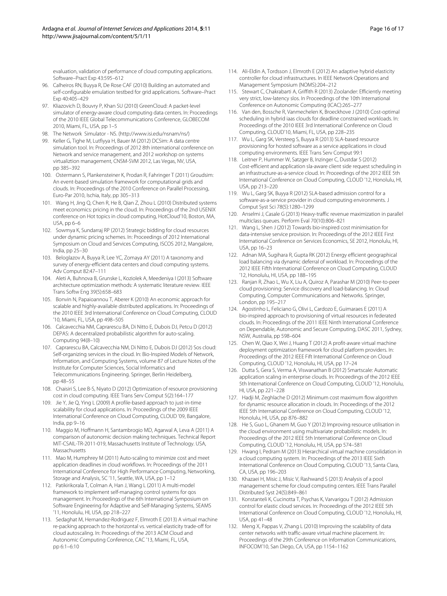evaluation, validation of performance of cloud computing applications. Software–Pract Exp 43:595–612

- <span id="page-15-0"></span>96. Calheiros RN, Buyya R, De Rose CAF (2010) Building an automated and self-configurable emulation testbed for grid applications. Software–Pract Exp 40:405–429
- <span id="page-15-1"></span>97. Kliazovich D, Bouvry P, Khan SU (2010) GreenCloud: A packet-level simulator of energy-aware cloud computing data centers. In: Proceedings of the 2010 IEEE Global Telecommunications Conference, GLOBECOM 2010, Miami, FL, USA, pp 1–5
- <span id="page-15-2"></span>98. The Network Simulator - NS. [\(http://www.isi.edu/nsnam/ns/\)](http://www.isi.edu/nsnam/ns/)
- <span id="page-15-3"></span>99. Keller G, Tighe M, Lutfiyya H, Bauer M (2012) DCSim: A data centre simulation tool. In: Proceedings of 2012 8th international conference on Network and service management, and 2012 workshop on systems virtualiztion management, CNSM-SVM 2012, Las Vegas, NV, USA, pp 385–392
- <span id="page-15-4"></span>100. Ostermann S, Plankensteiner K, Prodan R, Fahringer T (2011) Groudsim: An event-based simulation framework for computational grids and clouds. In: Proceedings of the 2010 Conference on Parallel Processing, Euro-Par 2010, Ischia, Italy, pp 305–313
- <span id="page-15-5"></span>101. Wang H, Jing Q, Chen R, He B, Qian Z, Zhou L (2010) Distributed systems meet economics: pricing in the cloud. In: Proceedings of the 2nd USENIX conference on Hot topics in cloud computing, HotCloud'10, Boston, MA, USA, pp 6–6
- <span id="page-15-6"></span>102. Sowmya K, Sundarraj RP (2012) Strategic bidding for cloud resources under dynamic pricing schemes. In: Proceedings of 2012 International Symposium on Cloud and Services Computing, ISCOS 2012, Mangalore, India, pp 25–30
- <span id="page-15-7"></span>103. Beloglazov A, Buyya R, Lee YC, Zomaya AY (2011) A taxonomy and survey of energy-efficient data centers and cloud computing systems. Adv Comput 82:47–111
- <span id="page-15-8"></span>104. Aleti A, Buhnova B, Grunske L, Koziolek A, Meedeniya I (2013) Software architecture optimization methods: A systematic literature review. IEEE Trans Softw Eng 39(5):658–683
- <span id="page-15-9"></span>105. Bonvin N, Papaioannou T, Aberer K (2010) An economic approach for scalable and highly-available distributed applications. In: Proceedings of the 2010 IEEE 3rd International Conference on Cloud Computing, CLOUD '10, Miami, FL, USA, pp 498–505
- <span id="page-15-10"></span>106. Calcavecchia NM, Caprarescu BA, Di Nitto E, Dubois DJ, Petcu D (2012) DEPAS: A decentralized probabilistic algorithm for auto-scaling. Computing 94(8–10)
- <span id="page-15-11"></span>107. Caprarescu BA, Calcavecchia NM, Di Nitto E, Dubois DJ (2012) Sos cloud: Self-organizing services in the cloud. In: Bio-Inspired Models of Network, Information, and Computing Systems, volume 87 of Lecture Notes of the Institute for Computer Sciences, Social Informatics and Telecommunications Engineering. Springer, Berlin Heidelberg, pp 48–55
- <span id="page-15-12"></span>108. Chaisiri S, Lee B-S, Niyato D (2012) Optimization of resource provisioning cost in cloud computing. IEEE Trans Serv Comput 5(2):164–177
- <span id="page-15-13"></span>109. Jie Y, Jie Q, Ying L (2009) A profile-based approach to just-in-time scalability for cloud applications. In: Proceedings of the 2009 IEEE International Conference on Cloud Computing, CLOUD '09, Bangalore, India, pp 9–16
- <span id="page-15-14"></span>110. Maggio M, Hoffmann H, Santambrogio MD, Agarwal A, Leva A (2011) A comparison of autonomic decision making techniques. Technical Report MIT-CSAIL-TR-2011-019, Massachusetts Institute of Technology. USA, Massachusetts
- <span id="page-15-15"></span>111. Mao M, Humphrey M (2011) Auto-scaling to minimize cost and meet application deadlines in cloud workflows. In: Proceedings of the 2011 International Conference for High Performance Computing, Networking, Storage and Analysis, SC '11, Seattle, WA, USA, pp 1–12
- <span id="page-15-16"></span>112. Patikirikorala T, Colman A, Han J, Wang L (2011) A multi-model framework to implement self-managing control systems for qos management. In: Proceedings of the 6th International Symposium on Software Engineering for Adaptive and Self-Managing Systems, SEAMS '11, Honolulu, HI, USA, pp 218–227
- <span id="page-15-17"></span>113. Sedaghat M, Hernandez-Rodriguez F, Elmroth E (2013) A virtual machine re-packing approach to the horizontal vs. vertical elasticity trade-off for cloud autoscaling. In: Proceedings of the 2013 ACM Cloud and Autonomic Computing Conference, CAC '13, Miami, FL, USA, pp 6:1–6:10
- <span id="page-15-18"></span>114. Ali-Eldin A, Tordsson J, Elmroth E (2012) An adaptive hybrid elasticity controller for cloud infrastructures. In IEEE Network Operations and Management Symposium (NOMS):204–212
- <span id="page-15-19"></span>115. Stewart C, Chakrabarti A, Griffith R (2013) Zoolander: Efficiently meeting very strict, low-latency slos. In Proceedings of the 10th International Conference on Autonomic Computing (ICAC):265–277
- <span id="page-15-20"></span>116. Van den, Bossche R, Vanmechelen K, Broeckhove J (2010) Cost-optimal scheduling in hybrid iaas clouds for deadline constrained workloads. In: Proceedings of the 2010 IEEE 3rd International Conference on Cloud Computing, CLOUD'10, Miami, FL, USA, pp 228–235
- <span id="page-15-21"></span>117. Wu L, Garg SK, Versteeg S, Buyya R (2013) SLA-based resource provisioning for hosted software as a service applications in cloud computing environments. IEEE Trans Serv Comput 99:1
- <span id="page-15-22"></span>118. Leitner P, Hummer W, Satzger B, Inzinger C, Dustdar S (2012) Cost-efficient and application sla-aware client side request scheduling in an infrastructure-as-a-service cloud. In: Proceedings of the 2012 IEEE 5th International Conference on Cloud Computing, CLOUD '12, Honolulu, HI, USA, pp 213–220
- <span id="page-15-23"></span>119. Wu L, Garg SK, Buyya R (2012) SLA-based admission control for a software-as-a-service provider in cloud computing environments. J Comput Syst Sci 78(5):1280–1299
- <span id="page-15-24"></span>120. Anselmi J, Casale G (2013) Heavy-traffic revenue maximization in parallel multiclass queues. Perform Eval 70(10):806–821
- <span id="page-15-25"></span>121. Wang L, Shen J (2012) Towards bio-inspired cost minimisation for data-intensive service provision. In: Proceedings of the 2012 IEEE First International Conference on Services Economics, SE 2012, Honolulu, HI, USA, pp 16–23
- <span id="page-15-26"></span>122. Adnan MA, Sugihara R, Gupta RK (2012) Energy efficient geographical load balancing via dynamic deferral of workload. In: Proceedings of the 2012 IEEE Fifth International Conference on Cloud Computing, CLOUD '12, Honolulu, HI, USA, pp 188–195
- <span id="page-15-27"></span>123. Ranjan R, Zhao L, Wu X, Liu A, Quiroz A, Parashar M (2010) Peer-to-peer cloud provisioning: Service discovery and load-balancing. In: Cloud Computing, Computer Communications and Networks. Springer, London, pp 195–217
- <span id="page-15-28"></span>124. Agostinho L, Feliciano G, Olivi L, Cardozo E, Guimaraes E (2011) A bio-inspired approach to provisioning of virtual resources in federated clouds. In: Proceedings of the 2011 IEEE Ninth International Conference on Dependable, Autonomic and Secure Computing, DASC 2011, Sydney, NSW, Australia, pp 598–604
- <span id="page-15-29"></span>125. Chen W, Qiao X, Wei J, Huang T (2012) A profit-aware virtual machine deployment optimization framework for cloud platform providers. In: Proceedings of the 2012 IEEE Fift International Conference on Cloud Computing, CLOUD '12, Honolulu, HI, USA, pp 17–24
- <span id="page-15-30"></span>126. Dutta S, Gera S, Verma A, Viswanathan B (2012) Smartscale: Automatic application scaling in enterprise clouds. In: Proceedings of the 2012 IEEE 5th International Conference on Cloud Computing, CLOUD '12, Honolulu, HI, USA, pp 221–228
- <span id="page-15-31"></span>127. Hadji M, Zeghlache D (2012) Minimum cost maximum flow algorithm for dynamic resource allocation in clouds. In: Proceedings of the 2012 IEEE 5th International Conference on Cloud Computing, CLOUD '12, Honolulu, HI, USA, pp 876–882
- <span id="page-15-32"></span>128. He S, Guo L, Ghanem M, Guo Y (2012) Improving resource utilisation in the cloud environment using multivariate probabilistic models. In: Proceedings of the 2012 IEEE 5th International Conference on Cloud Computing, CLOUD '12, Honolulu, HI, USA, pp 574–581
- <span id="page-15-33"></span>129. Hwang I, Pedram M (2013) Hierarchical virtual machine consolidation in a cloud computing system. In: Proceedings of the 2013 IEEE Sixth International Conference on Cloud Computing, CLOUD '13, Santa Clara, CA, USA, pp 196–203
- <span id="page-15-34"></span>130. Khazaei H, Misic J, Misic V, Rashwand S (2013) Analysis of a pool management scheme for cloud computing centers. IEEE Trans Parallel Distributed Syst 24(5):849–861
- <span id="page-15-35"></span>131. Konstanteli K, Cucinotta T, Psychas K, Varvarigou T (2012) Admission control for elastic cloud services. In: Proceedings of the 2012 IEEE 5th International Conference on Cloud Computing, CLOUD '12, Honolulu, HI, USA, pp 41–48
- <span id="page-15-36"></span>132. Meng X, Pappas V, Zhang L (2010) Improving the scalability of data center networks with traffic-aware virtual machine placement. In: Proceedings of the 29th Conference on Information Communications, INFOCOM'10, San Diego, CA, USA, pp 1154–1162